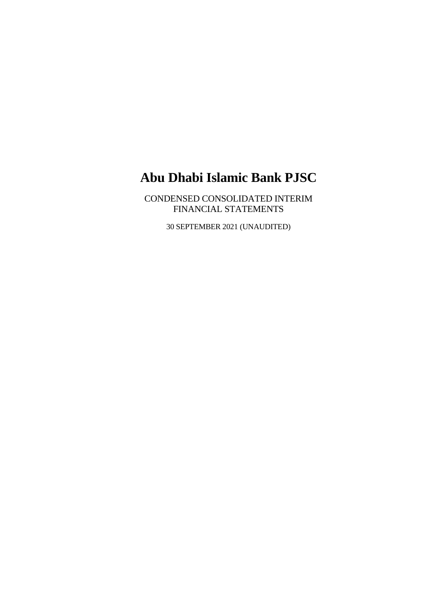CONDENSED CONSOLIDATED INTERIM FINANCIAL STATEMENTS

30 SEPTEMBER 2021 (UNAUDITED)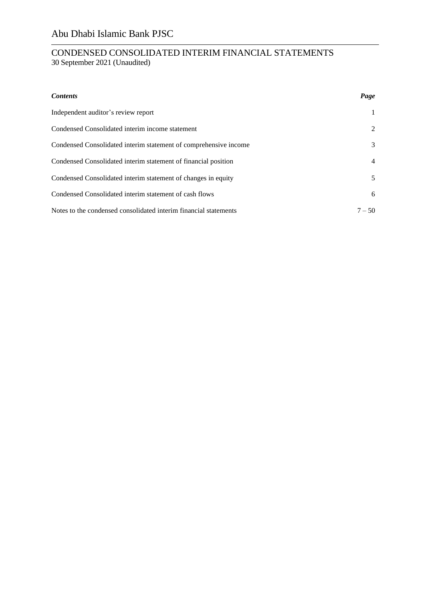| <b>Contents</b>                                                  | Page           |
|------------------------------------------------------------------|----------------|
| Independent auditor's review report                              |                |
| Condensed Consolidated interim income statement                  | 2              |
| Condensed Consolidated interim statement of comprehensive income | 3              |
| Condensed Consolidated interim statement of financial position   | $\overline{4}$ |
| Condensed Consolidated interim statement of changes in equity    | 5              |
| Condensed Consolidated interim statement of cash flows           | 6              |
| Notes to the condensed consolidated interim financial statements | $7 - 50$       |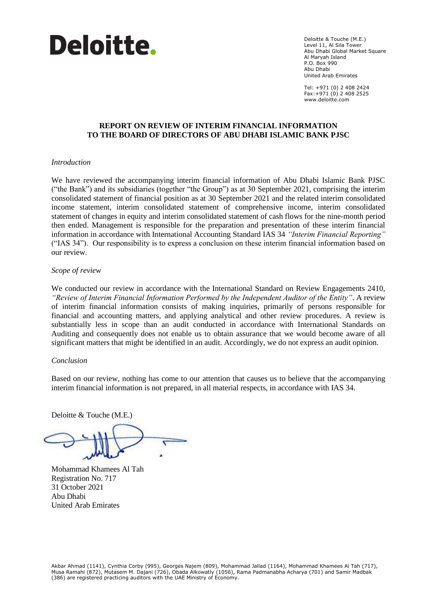

Deloitte & Touche (M.E.) Level 11, Al Sila Tower Abu Dhabi Global Market Square Al Maryah Island P.O. Box 990 Abu Dhabi United Arab Emirates

Tel: +971 (0) 2 408 2424 Fax:+971 (0) 2 408 2525 www.deloitte.com

### **REPORT ON REVIEW OF INTERIM FINANCIAL INFORMATION TO THE BOARD OF DIRECTORS OF ABU DHABI ISLAMIC BANK PJSC**

#### *Introduction*

We have reviewed the accompanying interim financial information of Abu Dhabi Islamic Bank PJSC ("the Bank") and its subsidiaries (together "the Group") as at 30 September 2021, comprising the interim consolidated statement of financial position as at 30 September 2021 and the related interim consolidated income statement, interim consolidated statement of comprehensive income, interim consolidated statement of changes in equity and interim consolidated statement of cash flows for the nine-month period then ended. Management is responsible for the preparation and presentation of these interim financial information in accordance with International Accounting Standard IAS 34 *"Interim Financial Reporting"*  ("IAS 34"). Our responsibility is to express a conclusion on these interim financial information based on our review.

#### *Scope of review*

We conducted our review in accordance with the International Standard on Review Engagements 2410, *"Review of Interim Financial Information Performed by the Independent Auditor of the Entity"*. A review of interim financial information consists of making inquiries, primarily of persons responsible for financial and accounting matters, and applying analytical and other review procedures. A review is substantially less in scope than an audit conducted in accordance with International Standards on Auditing and consequently does not enable us to obtain assurance that we would become aware of all significant matters that might be identified in an audit. Accordingly, we do not express an audit opinion.

#### *Conclusion*

Based on our review, nothing has come to our attention that causes us to believe that the accompanying interim financial information is not prepared, in all material respects, in accordance with IAS 34.

Deloitte & Touche (M.E.)

Mohammad Khamees Al Tah Registration No. 717 31 October 2021 Abu Dhabi United Arab Emirates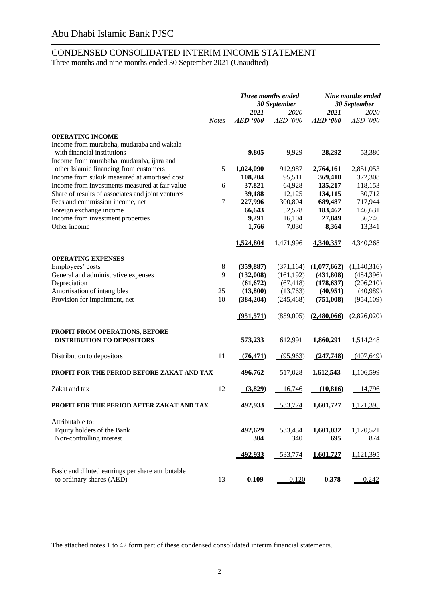### CONDENSED CONSOLIDATED INTERIM INCOME STATEMENT Three months and nine months ended 30 September 2021 (Unaudited)

|                                                   |              |                 | <b>Three months ended</b><br>30 September |                 | Nine months ended<br>30 September |  |
|---------------------------------------------------|--------------|-----------------|-------------------------------------------|-----------------|-----------------------------------|--|
|                                                   |              | 2021            | 2020                                      | 2021            | 2020                              |  |
|                                                   | <b>Notes</b> | <b>AED</b> '000 | <b>AED '000</b>                           | <b>AED</b> '000 | <b>AED</b> '000                   |  |
| <b>OPERATING INCOME</b>                           |              |                 |                                           |                 |                                   |  |
| Income from murabaha, mudaraba and wakala         |              |                 |                                           |                 |                                   |  |
| with financial institutions                       |              | 9,805           | 9,929                                     | 28,292          | 53,380                            |  |
| Income from murabaha, mudaraba, ijara and         |              |                 |                                           |                 |                                   |  |
| other Islamic financing from customers            | 5            | 1,024,090       | 912,987                                   | 2,764,161       | 2,851,053                         |  |
| Income from sukuk measured at amortised cost      |              | 108,204         | 95,511                                    | 369,410         | 372,308                           |  |
| Income from investments measured at fair value    | 6            | 37,821          | 64,928                                    | 135,217         | 118,153                           |  |
| Share of results of associates and joint ventures |              | 39,188          | 12,125                                    | 134,115         | 30,712                            |  |
| Fees and commission income, net                   | 7            | 227,996         | 300,804                                   | 689,487         | 717,944                           |  |
| Foreign exchange income                           |              | 66,643          | 52,578                                    | 183,462         | 146,631                           |  |
| Income from investment properties                 |              | 9,291           | 16,104                                    | 27,849          | 36,746                            |  |
| Other income                                      |              | 1,766           | 7,030                                     | 8,364           | 13,341                            |  |
|                                                   |              |                 |                                           |                 |                                   |  |
|                                                   |              | 1,524,804       | 1,471,996                                 | 4,340,357       | 4,340,268                         |  |
|                                                   |              |                 |                                           |                 |                                   |  |
| <b>OPERATING EXPENSES</b>                         |              |                 |                                           |                 |                                   |  |
| Employees' costs                                  | 8            | (359, 887)      | (371, 164)                                | (1,077,662)     | (1,140,316)                       |  |
| General and administrative expenses               | 9            | (132,008)       | (161, 192)                                | (431, 808)      | (484, 396)                        |  |
| Depreciation                                      |              | (61, 672)       | (67, 418)                                 | (178, 637)      | (206, 210)                        |  |
| Amortisation of intangibles                       | 25           | (13,800)        | (13,763)                                  | (40, 951)       | (40,989)                          |  |
| Provision for impairment, net                     | 10           | (384, 204)      | (245, 468)                                | (751,008)       | (954,109)                         |  |
|                                                   |              | (951,571)       | (859,005)                                 | (2,480,066)     | (2,826,020)                       |  |
|                                                   |              |                 |                                           |                 |                                   |  |
| PROFIT FROM OPERATIONS, BEFORE                    |              |                 |                                           |                 |                                   |  |
| <b>DISTRIBUTION TO DEPOSITORS</b>                 |              | 573,233         | 612,991                                   | 1,860,291       | 1,514,248                         |  |
|                                                   |              |                 |                                           |                 |                                   |  |
| Distribution to depositors                        | 11           | (76, 471)       | (95, 963)                                 | (247,748)       | (407, 649)                        |  |
|                                                   |              |                 |                                           |                 |                                   |  |
| PROFIT FOR THE PERIOD BEFORE ZAKAT AND TAX        |              | 496,762         | 517,028                                   | 1,612,543       | 1,106,599                         |  |
| Zakat and tax                                     | 12           | (3,829)         | 16,746                                    | (10, 816)       | 14,796                            |  |
|                                                   |              |                 |                                           |                 |                                   |  |
| PROFIT FOR THE PERIOD AFTER ZAKAT AND TAX         |              | <u>492,933</u>  | 533,774                                   | 1,601,727       | 1,121,395                         |  |
|                                                   |              |                 |                                           |                 |                                   |  |
| Attributable to:                                  |              |                 |                                           |                 |                                   |  |
| Equity holders of the Bank                        |              | 492,629         | 533,434                                   | 1,601,032       | 1,120,521                         |  |
| Non-controlling interest                          |              | 304             | 340                                       | 695             | 874                               |  |
|                                                   |              |                 |                                           | 1,601,727       |                                   |  |
|                                                   |              | 492,933         | 533,774                                   |                 | 1,121,395                         |  |
| Basic and diluted earnings per share attributable |              |                 |                                           |                 |                                   |  |
| to ordinary shares (AED)                          | 13           | 0.109           | 0.120                                     | 0.378           | 0.242                             |  |
|                                                   |              |                 |                                           |                 |                                   |  |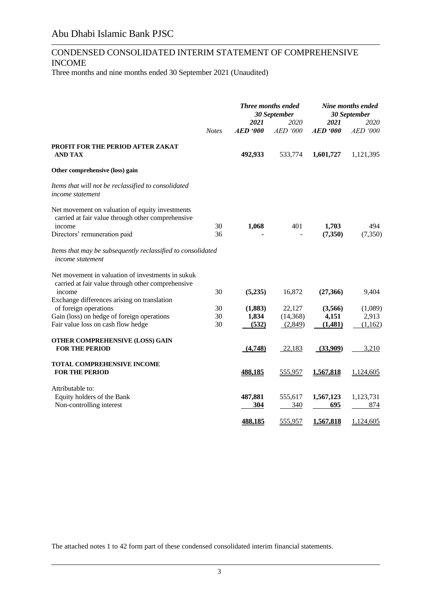### CONDENSED CONSOLIDATED INTERIM STATEMENT OF COMPREHENSIVE INCOME

Three months and nine months ended 30 September 2021 (Unaudited)

|                                                                                                        |              |                 | Three months ended<br>30 September |                         | Nine months ended<br>30 September |
|--------------------------------------------------------------------------------------------------------|--------------|-----------------|------------------------------------|-------------------------|-----------------------------------|
|                                                                                                        | <b>Notes</b> | 2021<br>AED 900 | 2020<br>AED '000                   | 2021<br><b>AED '000</b> | <b>2020</b><br>AED '000           |
| PROFIT FOR THE PERIOD AFTER ZAKAT<br><b>AND TAX</b>                                                    |              | 492,933         | 533,774                            | 1,601,727               | 1,121,395                         |
| Other comprehensive (loss) gain                                                                        |              |                 |                                    |                         |                                   |
| Items that will not be reclassified to consolidated<br><i>income statement</i>                         |              |                 |                                    |                         |                                   |
| Net movement on valuation of equity investments<br>carried at fair value through other comprehensive   | 30           |                 | 401                                |                         | 494                               |
| income<br>Directors' remuneration paid                                                                 | 36           | 1,068           |                                    | 1,703<br>(7,350)        | (7, 350)                          |
| Items that may be subsequently reclassified to consolidated<br><i>income statement</i>                 |              |                 |                                    |                         |                                   |
| Net movement in valuation of investments in sukuk<br>carried at fair value through other comprehensive |              |                 |                                    |                         |                                   |
| income<br>Exchange differences arising on translation                                                  | 30           | (5,235)         | 16,872                             | (27,366)                | 9,404                             |
| of foreign operations                                                                                  | 30           | (1,883)         | 22,127                             | (3,566)                 | (1,089)                           |
| Gain (loss) on hedge of foreign operations                                                             | 30           | 1,834           | (14, 368)                          | 4,151                   | 2,913                             |
| Fair value loss on cash flow hedge                                                                     | 30           | (532)           | (2,849)                            | (1,481)                 | (1,162)                           |
| OTHER COMPREHENSIVE (LOSS) GAIN                                                                        |              |                 |                                    |                         |                                   |
| <b>FOR THE PERIOD</b>                                                                                  |              | (4,748)         | 22,183                             | (33,909)                | 3,210                             |
| <b>TOTAL COMPREHENSIVE INCOME</b>                                                                      |              |                 |                                    |                         |                                   |
| <b>FOR THE PERIOD</b>                                                                                  |              | <u>488,185</u>  | 555,957                            | <u>1,567,818</u>        | 1,124,605                         |
| Attributable to:                                                                                       |              |                 |                                    |                         |                                   |
| Equity holders of the Bank                                                                             |              | 487,881         | 555,617                            | 1,567,123               | 1,123,731                         |
| Non-controlling interest                                                                               |              | 304             | 340                                | 695                     | 874                               |
|                                                                                                        |              | 488,185         | 555,957                            | 1,567,818               | 1,124,605                         |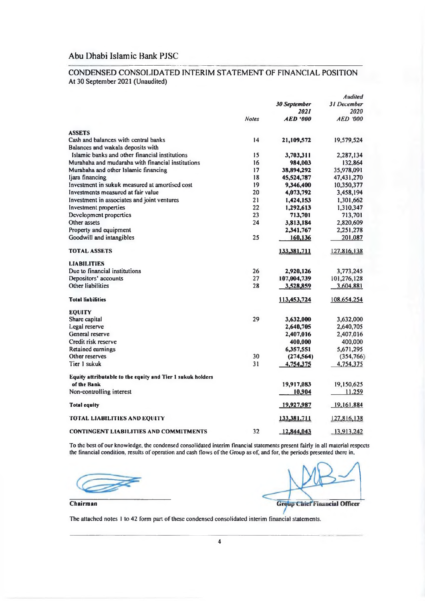#### CONDENSED CONSOLIDATED INTERIM STATEMENT OF FINANCIAL POSITION At 30 September 2021 (Unaudited)

|                                                            |              |                        | <b>Audited</b>     |
|------------------------------------------------------------|--------------|------------------------|--------------------|
|                                                            |              | 30 September           | <b>31 December</b> |
|                                                            |              | 2021                   | 2020               |
|                                                            | <b>Notes</b> | <i><b>AED '000</b></i> | <b>AED 000</b>     |
| <b>ASSETS</b>                                              |              |                        |                    |
| Cash and balances with central banks                       | 14           | 21,109,572             | 19,579,524         |
| Balances and wakala deposits with                          |              |                        |                    |
| Islamic banks and other financial institutions             | 15           | 3,703,311              | 2,287,134          |
| Murabaha and mudaraba with financial institutions          | 16           | 984,003                | 132,864            |
| Murabaha and other Islamic financing                       | 17           | 38,894,292             | 35,978,091         |
| Ijara financing                                            | 18           | 45,524,787             | 47,431,270         |
| Investment in sukuk measured at amortised cost             | 19           | 9,346,400              | 10,350,377         |
| Investments measured at fair value                         | 20           | 4,073,792              | 3,458,194          |
| Investment in associates and joint ventures                | 21           | 1,424,153              | 1,301,662          |
| Investment properties                                      | 22           | 1,292,613              | 1,310,347          |
| Development properties                                     | 23           | 713,701                | 713,701            |
| Other assets                                               | 24           | 3,813,184              | 2,820,609          |
| Property and equipment                                     |              | 2,341,767              | 2,251,278          |
| Goodwill and intangibles                                   | 25           | 160,136                | 201,087            |
| TOTAL ASSETS                                               |              | 133,381,711            | 127,816,138        |
| <b>LIABILITIES</b>                                         |              |                        |                    |
| Due to financial institutions                              | 26           | 2,920,126              | 3,773.245          |
| Depositors' accounts                                       | 27           | 107,004,739            | 101,276,128        |
| Other liabilities                                          | 28           | 3,528,859              | 3,604.881          |
| <b>Total liabilities</b>                                   |              | 113,453,724            | <u>108,654,254</u> |
| <b>EQUITY</b>                                              |              |                        |                    |
| Share capital                                              | 29           | 3,632,000              | 3,632,000          |
| Legal reserve                                              |              | 2,640,705              | 2,640,705          |
| General reserve                                            |              | 2,407,016              | 2,407.016          |
| Credit risk reserve                                        |              | 400,000                | 400,000            |
| Retained earnings                                          |              | 6,357,551              | 5,671,295          |
| Other reserves                                             | 30           | (274, 564)             | (354, 766)         |
| Tier 1 sukuk                                               | 31           | 4,754,375              | 4,754,375          |
| Equity attributable to the equity and Tier 1 sukuk holders |              |                        |                    |
| of the Bank                                                |              | 19,917,083             | 19,150,625         |
| Non-controlling interest                                   |              | 10,904                 | 11.259             |
| <b>Total equity</b>                                        |              | 19,927,987             | 19, 161, 884       |
| <b>TOTAL LIABILITIES AND EQUITY</b>                        |              | 133,381.711            | 127.816.138        |
| <b>CONTINGENT LIABILITIES AND COMMITMENTS</b>              | 32           | 12,844,043             | 13.913.242         |

To the best of our knowledge, the condensed consolidated interim financial statements present fairly in all material respects the financial condition, results of operation and cash flows of the Group as of, and for, the pe

**Group Chief Financial Officer** 

Chairman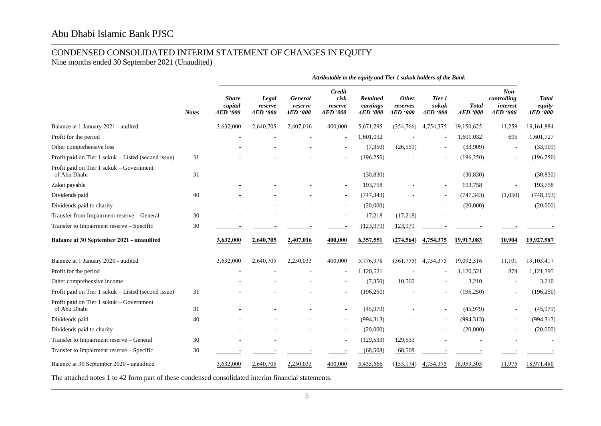# CONDENSED CONSOLIDATED INTERIM STATEMENT OF CHANGES IN EQUITY

Nine months ended 30 September 2021 (Unaudited)

|                                                          | <b>Notes</b> |                                    |                                     |                                       | Attributable to the equity and Tier 1 sukuk holders of the Bank |                                                |                                     |                                    |                         |                                                      |                                           |
|----------------------------------------------------------|--------------|------------------------------------|-------------------------------------|---------------------------------------|-----------------------------------------------------------------|------------------------------------------------|-------------------------------------|------------------------------------|-------------------------|------------------------------------------------------|-------------------------------------------|
|                                                          |              | <b>Share</b><br>capital<br>AED 900 | Legal<br>reserve<br><b>AED</b> '000 | General<br>reserve<br><b>AED</b> '000 | Credit<br>risk<br>reserve<br><b>AED</b> '000                    | <b>Retained</b><br>earnings<br><b>AED</b> '000 | <b>Other</b><br>reserves<br>AED 900 | Tier 1<br>sukuk<br><b>AED</b> '000 | <b>Total</b><br>AED 900 | $Non-$<br>controlling<br>interest<br><b>AED</b> '000 | <b>Total</b><br>equity<br><b>AED</b> '000 |
| Balance at 1 January 2021 - audited                      |              | 3,632,000                          | 2,640,705                           | 2,407,016                             | 400,000                                                         | 5,671,295                                      | (354,766)                           | 4,754,375                          | 19,150,625              | 11,259                                               | 19,161,884                                |
| Profit for the period                                    |              |                                    |                                     |                                       |                                                                 | 1,601,032                                      |                                     | $\overline{\phantom{a}}$           | 1,601,032               | 695                                                  | 1,601,727                                 |
| Other comprehensive loss                                 |              |                                    |                                     |                                       |                                                                 | (7,350)                                        | (26, 559)                           | $\overline{\phantom{a}}$           | (33,909)                |                                                      | (33,909)                                  |
| Profit paid on Tier 1 sukuk - Listed (second issue)      | 31           |                                    |                                     |                                       |                                                                 | (196, 250)                                     |                                     | $\overline{\phantom{a}}$           | (196, 250)              |                                                      | (196, 250)                                |
| Profit paid on Tier 1 sukuk – Government<br>of Abu Dhabi | 31           |                                    |                                     |                                       |                                                                 | (30, 830)                                      |                                     | $\overline{\phantom{a}}$           | (30, 830)               |                                                      | (30, 830)                                 |
| Zakat payable                                            |              |                                    |                                     |                                       | $\blacksquare$                                                  | 193,758                                        |                                     | $\overline{\phantom{a}}$           | 193,758                 | $\blacksquare$                                       | 193,758                                   |
| Dividends paid                                           | 40           |                                    |                                     |                                       |                                                                 | (747, 343)                                     |                                     | $\overline{\phantom{a}}$           | (747, 343)              | (1,050)                                              | (748, 393)                                |
| Dividends paid to charity                                |              |                                    |                                     |                                       |                                                                 | (20,000)                                       |                                     |                                    | (20,000)                |                                                      | (20,000)                                  |
| Transfer from Impairment reserve - General               | 30           |                                    |                                     |                                       |                                                                 | 17,218                                         | (17,218)                            |                                    |                         |                                                      |                                           |
| Transfer to Impairment reserve - Specific                | 30           |                                    |                                     |                                       |                                                                 | (123, 979)                                     | 123,979                             |                                    |                         |                                                      |                                           |
| Balance at 30 September 2021 - unaudited                 |              | 3,632,000                          | 2.640.705                           | 2,407,016                             | 400.000                                                         | 6,357,551                                      | (274, 564)                          | 4.754.375                          | 19,917,083              | 10,904                                               | 19.927.987                                |
| Balance at 1 January 2020 - audited                      |              | 3,632,000                          | 2,640,705                           | 2,250,033                             | 400,000                                                         | 5,776,978                                      | (361,775)                           | 4,754,375                          | 19,092,316              | 11,101                                               | 19,103,417                                |
| Profit for the period                                    |              |                                    |                                     |                                       |                                                                 | 1,120,521                                      |                                     |                                    | 1,120,521               | 874                                                  | 1,121,395                                 |
| Other comprehensive income                               |              |                                    |                                     |                                       |                                                                 | (7,350)                                        | 10,560                              | $\overline{\phantom{a}}$           | 3,210                   |                                                      | 3,210                                     |
| Profit paid on Tier 1 sukuk – Listed (second issue)      | 31           |                                    |                                     |                                       |                                                                 | (196, 250)                                     |                                     | $\overline{\phantom{a}}$           | (196,250)               |                                                      | (196, 250)                                |
| Profit paid on Tier 1 sukuk – Government<br>of Abu Dhabi | 31           |                                    |                                     |                                       |                                                                 | (45,979)                                       |                                     |                                    | (45,979)                |                                                      | (45,979)                                  |
| Dividends paid                                           | 40           |                                    |                                     |                                       | $\sim$                                                          | (994, 313)                                     |                                     | $\overline{\phantom{a}}$           | (994, 313)              | $\overline{\phantom{a}}$                             | (994, 313)                                |
| Dividends paid to charity                                |              |                                    |                                     |                                       |                                                                 | (20,000)                                       |                                     |                                    | (20,000)                |                                                      | (20,000)                                  |
| Transfer to Impairment reserve - General                 | 30           |                                    |                                     |                                       |                                                                 | (129, 533)                                     | 129,533                             |                                    |                         |                                                      |                                           |
| Transfer to Impairment reserve - Specific                | 30           |                                    |                                     |                                       |                                                                 | (68, 508)                                      | 68,508                              |                                    |                         |                                                      |                                           |
| Balance at 30 September 2020 - unaudited                 |              | 3,632,000                          | 2,640,705                           | 2,250,033                             | 400,000                                                         | 5,435,566                                      | (153, 174)                          | 4,754,375                          | 18,959,505              | 11,975                                               | 18,971,480                                |

The attached notes 1 to 42 form part of these condensed consolidated interim financial statements.

l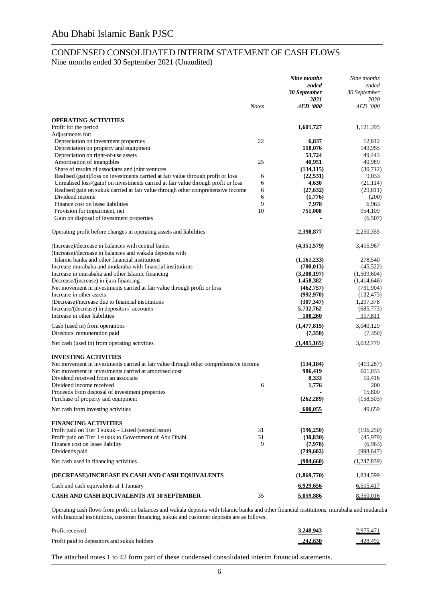### CONDENSED CONSOLIDATED INTERIM STATEMENT OF CASH FLOWS Nine months ended 30 September 2021 (Unaudited)

\_\_\_\_\_\_\_\_\_\_\_\_\_\_\_\_\_\_\_\_\_\_\_\_\_\_\_\_\_\_\_\_\_\_\_\_\_\_\_\_\_\_\_\_\_\_\_\_\_\_\_\_\_\_\_\_\_\_\_\_\_\_\_\_\_\_\_\_\_\_\_\_\_\_\_\_\_\_\_\_\_\_\_\_\_\_\_\_\_\_\_\_\_\_\_\_\_\_\_\_\_\_\_\_\_\_\_\_\_\_\_\_\_\_\_\_\_\_\_\_\_\_\_\_\_\_\_\_\_\_\_\_\_\_\_\_\_\_\_\_\_\_\_\_\_\_\_\_\_\_\_\_\_\_\_\_\_\_\_\_\_\_\_\_\_\_\_\_\_\_\_\_\_\_\_\_\_\_\_\_\_\_\_\_\_\_\_\_\_\_\_\_\_\_\_\_\_\_\_\_\_\_\_\_\_\_

|                                                                                      |              | Nine months          | Nine months           |
|--------------------------------------------------------------------------------------|--------------|----------------------|-----------------------|
|                                                                                      |              | ended                | ended                 |
|                                                                                      |              | 30 September         | 30 September          |
|                                                                                      |              | 2021                 | 2020                  |
|                                                                                      | <b>Notes</b> | <b>AED</b> '000      | <b>AED</b> '000       |
| <b>OPERATING ACTIVITIES</b>                                                          |              |                      |                       |
| Profit for the period                                                                |              | 1,601,727            | 1,121,395             |
| Adjustments for:                                                                     |              |                      |                       |
| Depreciation on investment properties                                                | 22           | 6,837                | 12,812                |
| Depreciation on property and equipment                                               |              | 118,076              | 143,955               |
| Depreciation on right-of-use assets                                                  |              | 53,724               | 49,443                |
| Amortisation of intangibles                                                          | 25           | 40,951               | 40,989                |
| Share of results of associates and joint ventures                                    |              | (134, 115)           | (30,712)              |
| Realised (gain)/loss on investments carried at fair value through profit or loss     | 6            | (22, 531)            | 9,033                 |
| Unrealised loss/(gain) on investments carried at fair value through profit or loss   | 6            | 4,630                | (21, 114)             |
| Realised gain on sukuk carried at fair value through other comprehensive income      | 6            | (27, 632)            | (29, 811)             |
| Dividend income                                                                      | 6            | (1,776)              | (200)                 |
| Finance cost on lease liabilities                                                    | 9            | 7,978                | 6,963                 |
| Provision for impairment, net                                                        | 10           | 751,008              | 954,109               |
| Gain on disposal of investment properties                                            |              |                      | (6,507)               |
|                                                                                      |              |                      |                       |
| Operating profit before changes in operating assets and liabilities                  |              | 2,398,877            | 2,250,355             |
| (Increase)/decrease in balances with central banks                                   |              | (4,351,579)          | 3,415,967             |
| (Increase)/decrease in balances and wakala deposits with                             |              |                      |                       |
| Islamic banks and other financial institutions                                       |              | (1,161,233)          | 278,540               |
| Increase murabaha and mudaraba with financial institutions                           |              | (700, 013)           | (45, 522)             |
| Increase in murabaha and other Islamic financing                                     |              | (3,200,197)          | (1,509,604)           |
| Decrease/(increase) in ijara financing                                               |              | 1,458,382            | (1,414,646)           |
| Net movement in investments carried at fair value through profit or loss             |              | (462,757)            | (731,904)             |
| Increase in other assets                                                             |              | (992, 970)           | (132, 473)            |
| (Decrease)/increase due to financial institutions                                    |              | (307, 347)           | 1,297,378             |
| Increase/(decrease) in depositors' accounts                                          |              | 5,732,762            | (685,773)             |
| Increase in other liabilities                                                        |              | 108,260              | 317,811               |
|                                                                                      |              | (1,477,815)          | 3,040,129             |
| Cash (used in) from operations<br>Directors' remuneration paid                       |              | (7,350)              | (7,350)               |
|                                                                                      |              |                      |                       |
| Net cash (used in) from operating activities                                         |              | (1,485,165)          | 3,032,779             |
| <b>INVESTING ACTIVITIES</b>                                                          |              |                      |                       |
| Net movement in investments carried at fair value through other comprehensive income |              | (134, 184)           | (419, 287)            |
| Net movement in investments carried at amortised cost                                |              | 986,419              | 601,033               |
| Dividend received from an associate                                                  |              | 8,333                | 10,416                |
| Dividend income received                                                             | 6            | 1,776                | 200                   |
| Proceeds from disposal of investment properties                                      |              |                      | 15,800                |
| Purchase of property and equipment                                                   |              | (262, 289)           | (158, 503)            |
| Net cash from investing activities                                                   |              | 600,055              | 49,659                |
| <b>FINANCING ACTIVITIES</b>                                                          |              |                      |                       |
| Profit paid on Tier 1 sukuk – Listed (second issue)                                  | 31           | (196,250)            | (196,250)             |
| Profit paid on Tier 1 sukuk to Government of Abu Dhabi                               | 31           |                      |                       |
| Finance cost on lease liability                                                      | 9            | (30, 830)<br>(7,978) | (45,979)              |
| Dividends paid                                                                       |              | (749,602)            | (6,963)<br>(998, 647) |
|                                                                                      |              |                      |                       |
| Net cash used in financing activities                                                |              | (984,660)            | (1,247,839)           |
| (DECREASE)/INCREASE IN CASH AND CASH EQUIVALENTS                                     |              | (1,869,770)          | 1,834,599             |
| Cash and cash equivalents at 1 January                                               |              | 6,929,656            | 6,515,417             |
| CASH AND CASH EQUIVALENTS AT 30 SEPTEMBER                                            | 35           | 5,059,886            | 8,350,016             |

Operating cash flows from profit on balances and wakala deposits with Islamic banks and other financial institutions, murabaha and mudaraba with financial institutions, customer financing, sukuk and customer deposits are as follows:

| Profit received                             | 3,248,943 | 2,975,471 |
|---------------------------------------------|-----------|-----------|
| Profit paid to depositors and sukuk holders | 242.630   | 428,492   |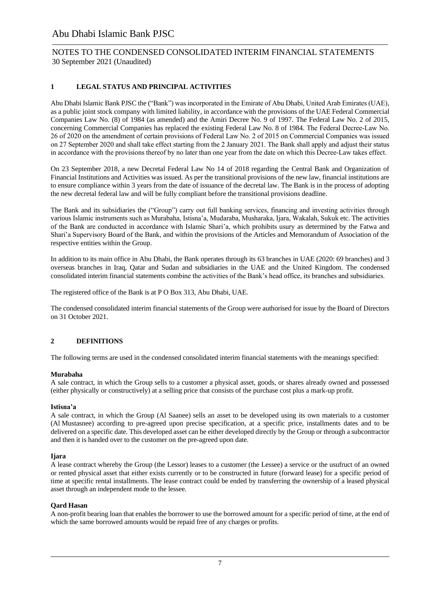### NOTES TO THE CONDENSED CONSOLIDATED INTERIM FINANCIAL STATEMENTS 30 September 2021 (Unaudited)

#### **1 LEGAL STATUS AND PRINCIPAL ACTIVITIES**

Abu Dhabi Islamic Bank PJSC the ("Bank") was incorporated in the Emirate of Abu Dhabi, United Arab Emirates (UAE), as a public joint stock company with limited liability, in accordance with the provisions of the UAE Federal Commercial Companies Law No. (8) of 1984 (as amended) and the Amiri Decree No. 9 of 1997. The Federal Law No. 2 of 2015, concerning Commercial Companies has replaced the existing Federal Law No. 8 of 1984. The Federal Decree-Law No. 26 of 2020 on the amendment of certain provisions of Federal Law No. 2 of 2015 on Commercial Companies was issued on 27 September 2020 and shall take effect starting from the 2 January 2021. The Bank shall apply and adjust their status in accordance with the provisions thereof by no later than one year from the date on which this Decree-Law takes effect.

On 23 September 2018, a new Decretal Federal Law No 14 of 2018 regarding the Central Bank and Organization of Financial Institutions and Activities was issued. As per the transitional provisions of the new law, financial institutions are to ensure compliance within 3 years from the date of issuance of the decretal law. The Bank is in the process of adopting the new decretal federal law and will be fully compliant before the transitional provisions deadline.

The Bank and its subsidiaries the ("Group") carry out full banking services, financing and investing activities through various Islamic instruments such as Murabaha, Istisna'a, Mudaraba, Musharaka, Ijara, Wakalah, Sukuk etc. The activities of the Bank are conducted in accordance with Islamic Shari'a, which prohibits usury as determined by the Fatwa and Shari'a Supervisory Board of the Bank, and within the provisions of the Articles and Memorandum of Association of the respective entities within the Group.

In addition to its main office in Abu Dhabi, the Bank operates through its 63 branches in UAE (2020: 69 branches) and 3 overseas branches in Iraq, Qatar and Sudan and subsidiaries in the UAE and the United Kingdom. The condensed consolidated interim financial statements combine the activities of the Bank's head office, its branches and subsidiaries.

The registered office of the Bank is at P O Box 313, Abu Dhabi, UAE.

The condensed consolidated interim financial statements of the Group were authorised for issue by the Board of Directors on 31 October 2021.

#### **2 DEFINITIONS**

The following terms are used in the condensed consolidated interim financial statements with the meanings specified:

#### **Murabaha**

A sale contract, in which the Group sells to a customer a physical asset, goods, or shares already owned and possessed (either physically or constructively) at a selling price that consists of the purchase cost plus a mark-up profit.

#### **Istisna'a**

A sale contract, in which the Group (Al Saanee) sells an asset to be developed using its own materials to a customer (Al Mustasnee) according to pre-agreed upon precise specification, at a specific price, installments dates and to be delivered on a specific date. This developed asset can be either developed directly by the Group or through a subcontractor and then it is handed over to the customer on the pre-agreed upon date.

#### **Ijara**

A lease contract whereby the Group (the Lessor) leases to a customer (the Lessee) a service or the usufruct of an owned or rented physical asset that either exists currently or to be constructed in future (forward lease) for a specific period of time at specific rental installments. The lease contract could be ended by transferring the ownership of a leased physical asset through an independent mode to the lessee.

#### **Qard Hasan**

A non-profit bearing loan that enables the borrower to use the borrowed amount for a specific period of time, at the end of which the same borrowed amounts would be repaid free of any charges or profits.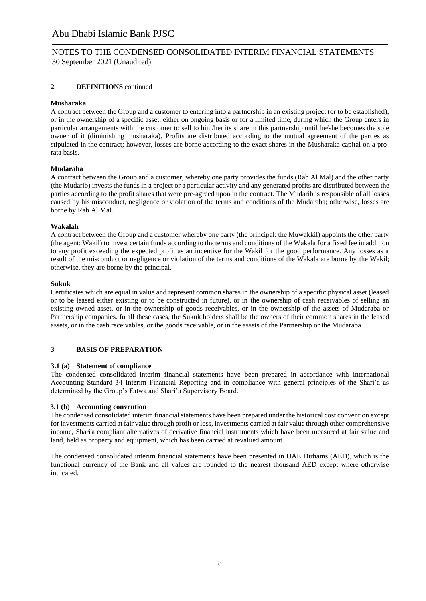### **2 DEFINITIONS** continued

### **Musharaka**

A contract between the Group and a customer to entering into a partnership in an existing project (or to be established), or in the ownership of a specific asset, either on ongoing basis or for a limited time, during which the Group enters in particular arrangements with the customer to sell to him/her its share in this partnership until he/she becomes the sole owner of it (diminishing musharaka). Profits are distributed according to the mutual agreement of the parties as stipulated in the contract; however, losses are borne according to the exact shares in the Musharaka capital on a prorata basis.

### **Mudaraba**

A contract between the Group and a customer, whereby one party provides the funds (Rab Al Mal) and the other party (the Mudarib) invests the funds in a project or a particular activity and any generated profits are distributed between the parties according to the profit shares that were pre-agreed upon in the contract. The Mudarib is responsible of all losses caused by his misconduct, negligence or violation of the terms and conditions of the Mudaraba; otherwise, losses are borne by Rab Al Mal.

### **Wakalah**

A contract between the Group and a customer whereby one party (the principal: the Muwakkil) appoints the other party (the agent: Wakil) to invest certain funds according to the terms and conditions of the Wakala for a fixed fee in addition to any profit exceeding the expected profit as an incentive for the Wakil for the good performance. Any losses as a result of the misconduct or negligence or violation of the terms and conditions of the Wakala are borne by the Wakil; otherwise, they are borne by the principal.

### **Sukuk**

Certificates which are equal in value and represent common shares in the ownership of a specific physical asset (leased or to be leased either existing or to be constructed in future), or in the ownership of cash receivables of selling an existing-owned asset, or in the ownership of goods receivables, or in the ownership of the assets of Mudaraba or Partnership companies. In all these cases, the Sukuk holders shall be the owners of their common shares in the leased assets, or in the cash receivables, or the goods receivable, or in the assets of the Partnership or the Mudaraba.

### **3 BASIS OF PREPARATION**

### **3.1 (a) Statement of compliance**

The condensed consolidated interim financial statements have been prepared in accordance with International Accounting Standard 34 Interim Financial Reporting and in compliance with general principles of the Shari'a as determined by the Group's Fatwa and Shari'a Supervisory Board.

### **3.1 (b) Accounting convention**

The condensed consolidated interim financial statements have been prepared under the historical cost convention except for investments carried at fair value through profit or loss, investments carried at fair value through other comprehensive income, Shari'a compliant alternatives of derivative financial instruments which have been measured at fair value and land, held as property and equipment, which has been carried at revalued amount.

The condensed consolidated interim financial statements have been presented in UAE Dirhams (AED), which is the functional currency of the Bank and all values are rounded to the nearest thousand AED except where otherwise indicated.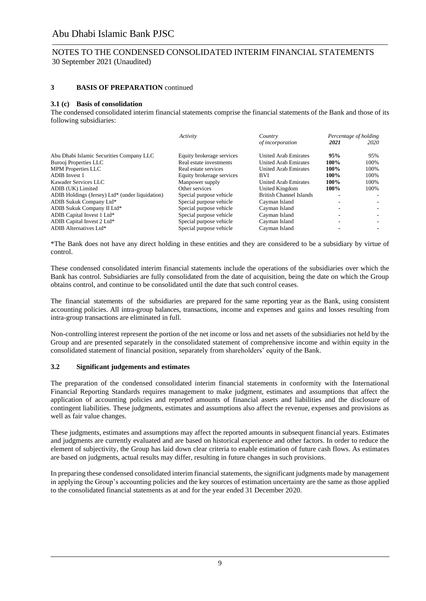### NOTES TO THE CONDENSED CONSOLIDATED INTERIM FINANCIAL STATEMENTS 30 September 2021 (Unaudited)

#### **3 BASIS OF PREPARATION** continued

#### **3.1 (c) Basis of consolidation**

The condensed consolidated interim financial statements comprise the financial statements of the Bank and those of its following subsidiaries:

|                                                 | Activity                  | Country                        |      | Percentage of holding |
|-------------------------------------------------|---------------------------|--------------------------------|------|-----------------------|
|                                                 |                           | of incorporation               | 2021 | 2020                  |
| Abu Dhabi Islamic Securities Company LLC        | Equity brokerage services | <b>United Arab Emirates</b>    | 95%  | 95%                   |
| <b>Burooj Properties LLC</b>                    | Real estate investments   | <b>United Arab Emirates</b>    | 100% | 100%                  |
| <b>MPM Properties LLC</b>                       | Real estate services      | <b>United Arab Emirates</b>    | 100% | 100%                  |
| <b>ADIB</b> Invest 1                            | Equity brokerage services | <b>BVI</b>                     | 100% | 100\%                 |
| Kawader Services LLC                            | Manpower supply           | <b>United Arab Emirates</b>    | 100% | 100%                  |
| ADIB (UK) Limited                               | Other services            | United Kingdom                 | 100% | 100%                  |
| ADIB Holdings (Jersey) Ltd* (under liquidation) | Special purpose vehicle   | <b>British Channel Islands</b> |      |                       |
| ADIB Sukuk Company Ltd*                         | Special purpose vehicle   | Cayman Island                  |      |                       |
| ADIB Sukuk Company II Ltd*                      | Special purpose vehicle   | Cayman Island                  |      |                       |
| ADIB Capital Invest 1 Ltd*                      | Special purpose vehicle   | Cayman Island                  |      |                       |
| ADIB Capital Invest 2 Ltd*                      | Special purpose vehicle   | Cayman Island                  |      |                       |
| ADIB Alternatives Ltd*                          | Special purpose vehicle   | Cayman Island                  |      |                       |

\*The Bank does not have any direct holding in these entities and they are considered to be a subsidiary by virtue of control.

These condensed consolidated interim financial statements include the operations of the subsidiaries over which the Bank has control. Subsidiaries are fully consolidated from the date of acquisition, being the date on which the Group obtains control, and continue to be consolidated until the date that such control ceases.

The financial statements of the subsidiaries are prepared for the same reporting year as the Bank, using consistent accounting policies. All intra-group balances, transactions, income and expenses and gains and losses resulting from intra-group transactions are eliminated in full.

Non-controlling interest represent the portion of the net income or loss and net assets of the subsidiaries not held by the Group and are presented separately in the consolidated statement of comprehensive income and within equity in the consolidated statement of financial position, separately from shareholders' equity of the Bank.

#### **3.2 Significant judgements and estimates**

The preparation of the condensed consolidated interim financial statements in conformity with the International Financial Reporting Standards requires management to make judgment, estimates and assumptions that affect the application of accounting policies and reported amounts of financial assets and liabilities and the disclosure of contingent liabilities. These judgments, estimates and assumptions also affect the revenue, expenses and provisions as well as fair value changes.

These judgments, estimates and assumptions may affect the reported amounts in subsequent financial years. Estimates and judgments are currently evaluated and are based on historical experience and other factors. In order to reduce the element of subjectivity, the Group has laid down clear criteria to enable estimation of future cash flows. As estimates are based on judgments, actual results may differ, resulting in future changes in such provisions.

In preparing these condensed consolidated interim financial statements, the significant judgments made by management in applying the Group's accounting policies and the key sources of estimation uncertainty are the same as those applied to the consolidated financial statements as at and for the year ended 31 December 2020.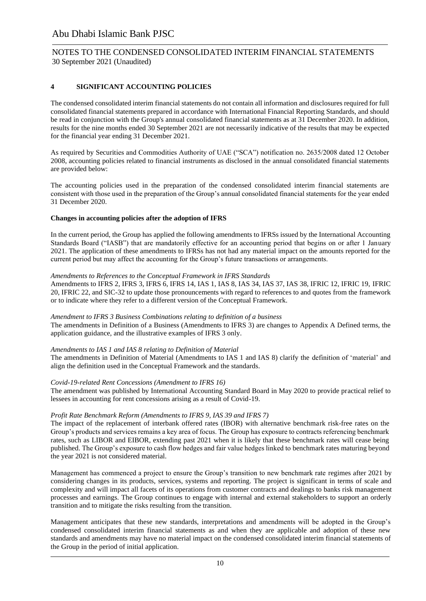### NOTES TO THE CONDENSED CONSOLIDATED INTERIM FINANCIAL STATEMENTS 30 September 2021 (Unaudited)

### **4 SIGNIFICANT ACCOUNTING POLICIES**

The condensed consolidated interim financial statements do not contain all information and disclosures required for full consolidated financial statements prepared in accordance with International Financial Reporting Standards, and should be read in conjunction with the Group's annual consolidated financial statements as at 31 December 2020. In addition, results for the nine months ended 30 September 2021 are not necessarily indicative of the results that may be expected for the financial year ending 31 December 2021.

As required by Securities and Commodities Authority of UAE ("SCA") notification no. 2635/2008 dated 12 October 2008, accounting policies related to financial instruments as disclosed in the annual consolidated financial statements are provided below:

The accounting policies used in the preparation of the condensed consolidated interim financial statements are consistent with those used in the preparation of the Group's annual consolidated financial statements for the year ended 31 December 2020.

#### **Changes in accounting policies after the adoption of IFRS**

In the current period, the Group has applied the following amendments to IFRSs issued by the International Accounting Standards Board ("IASB") that are mandatorily effective for an accounting period that begins on or after 1 January 2021. The application of these amendments to IFRSs has not had any material impact on the amounts reported for the current period but may affect the accounting for the Group's future transactions or arrangements.

#### *Amendments to References to the Conceptual Framework in IFRS Standards*

Amendments to IFRS 2, IFRS 3, IFRS 6, IFRS 14, IAS 1, IAS 8, IAS 34, IAS 37, IAS 38, IFRIC 12, IFRIC 19, IFRIC 20, IFRIC 22, and SIC-32 to update those pronouncements with regard to references to and quotes from the framework or to indicate where they refer to a different version of the Conceptual Framework.

#### *Amendment to IFRS 3 Business Combinations relating to definition of a business*

The amendments in Definition of a Business (Amendments to IFRS 3) are changes to Appendix A Defined terms, the application guidance, and the illustrative examples of IFRS 3 only.

#### *Amendments to IAS 1 and IAS 8 relating to Definition of Material*

The amendments in Definition of Material (Amendments to IAS 1 and IAS 8) clarify the definition of 'material' and align the definition used in the Conceptual Framework and the standards.

#### *Covid-19-related Rent Concessions (Amendment to IFRS 16)*

The amendment was published by International Accounting Standard Board in May 2020 to provide practical relief to lessees in accounting for rent concessions arising as a result of Covid-19.

#### *Profit Rate Benchmark Reform (Amendments to IFRS 9, IAS 39 and IFRS 7)*

The impact of the replacement of interbank offered rates (IBOR) with alternative benchmark risk-free rates on the Group's products and services remains a key area of focus. The Group has exposure to contracts referencing benchmark rates, such as LIBOR and EIBOR, extending past 2021 when it is likely that these benchmark rates will cease being published. The Group's exposure to cash flow hedges and fair value hedges linked to benchmark rates maturing beyond the year 2021 is not considered material.

Management has commenced a project to ensure the Group's transition to new benchmark rate regimes after 2021 by considering changes in its products, services, systems and reporting. The project is significant in terms of scale and complexity and will impact all facets of its operations from customer contracts and dealings to banks risk management processes and earnings. The Group continues to engage with internal and external stakeholders to support an orderly transition and to mitigate the risks resulting from the transition.

Management anticipates that these new standards, interpretations and amendments will be adopted in the Group's condensed consolidated interim financial statements as and when they are applicable and adoption of these new standards and amendments may have no material impact on the condensed consolidated interim financial statements of the Group in the period of initial application.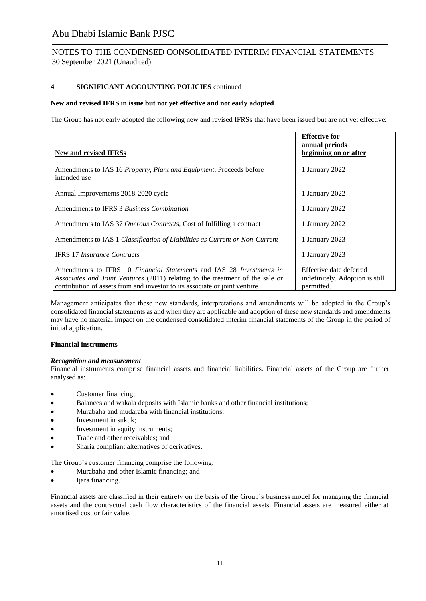### NOTES TO THE CONDENSED CONSOLIDATED INTERIM FINANCIAL STATEMENTS 30 September 2021 (Unaudited)

#### **4 SIGNIFICANT ACCOUNTING POLICIES** continued

#### **New and revised IFRS in issue but not yet effective and not early adopted**

The Group has not early adopted the following new and revised IFRSs that have been issued but are not yet effective:

| New and revised IFRSs                                                                                                                                                                                                                                     | <b>Effective for</b><br>annual periods<br>beginning on or after          |
|-----------------------------------------------------------------------------------------------------------------------------------------------------------------------------------------------------------------------------------------------------------|--------------------------------------------------------------------------|
|                                                                                                                                                                                                                                                           |                                                                          |
| Amendments to IAS 16 <i>Property, Plant and Equipment</i> , Proceeds before<br>intended use                                                                                                                                                               | 1 January 2022                                                           |
| Annual Improvements 2018-2020 cycle                                                                                                                                                                                                                       | 1 January 2022                                                           |
| Amendments to IFRS 3 Business Combination                                                                                                                                                                                                                 | 1 January 2022                                                           |
| Amendments to IAS 37 Onerous Contracts, Cost of fulfilling a contract                                                                                                                                                                                     | 1 January 2022                                                           |
| Amendments to IAS 1 Classification of Liabilities as Current or Non-Current                                                                                                                                                                               | 1 January 2023                                                           |
| <b>IFRS</b> 17 <i>Insurance Contracts</i>                                                                                                                                                                                                                 | 1 January 2023                                                           |
| Amendments to IFRS 10 <i>Financial Statements</i> and IAS 28 <i>Investments in</i><br><i>Associates and Joint Ventures</i> (2011) relating to the treatment of the sale or<br>contribution of assets from and investor to its associate or joint venture. | Effective date deferred<br>indefinitely. Adoption is still<br>permitted. |

Management anticipates that these new standards, interpretations and amendments will be adopted in the Group's consolidated financial statements as and when they are applicable and adoption of these new standards and amendments may have no material impact on the condensed consolidated interim financial statements of the Group in the period of initial application.

#### **Financial instruments**

#### *Recognition and measurement*

Financial instruments comprise financial assets and financial liabilities. Financial assets of the Group are further analysed as:

- Customer financing;
- Balances and wakala deposits with Islamic banks and other financial institutions;
- Murabaha and mudaraba with financial institutions;
- Investment in sukuk;
- Investment in equity instruments;
- Trade and other receivables; and
- Sharia compliant alternatives of derivatives.

The Group's customer financing comprise the following:

- Murabaha and other Islamic financing; and
- Ijara financing.

Financial assets are classified in their entirety on the basis of the Group's business model for managing the financial assets and the contractual cash flow characteristics of the financial assets. Financial assets are measured either at amortised cost or fair value.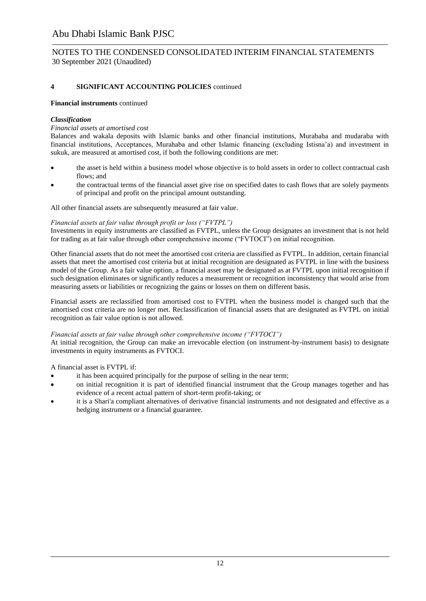### NOTES TO THE CONDENSED CONSOLIDATED INTERIM FINANCIAL STATEMENTS 30 September 2021 (Unaudited)

### **4 SIGNIFICANT ACCOUNTING POLICIES** continued

#### **Financial instruments** continued

#### *Classification*

#### *Financial assets at amortised cost*

Balances and wakala deposits with Islamic banks and other financial institutions, Murabaha and mudaraba with financial institutions, Acceptances, Murahaba and other Islamic financing (excluding Istisna'a) and investment in sukuk, are measured at amortised cost, if both the following conditions are met:

- the asset is held within a business model whose objective is to hold assets in order to collect contractual cash flows; and
- the contractual terms of the financial asset give rise on specified dates to cash flows that are solely payments of principal and profit on the principal amount outstanding.

#### All other financial assets are subsequently measured at fair value.

#### *Financial assets at fair value through profit or loss ("FVTPL")*

Investments in equity instruments are classified as FVTPL, unless the Group designates an investment that is not held for trading as at fair value through other comprehensive income ("FVTOCI") on initial recognition.

Other financial assets that do not meet the amortised cost criteria are classified as FVTPL. In addition, certain financial assets that meet the amortised cost criteria but at initial recognition are designated as FVTPL in line with the business model of the Group. As a fair value option, a financial asset may be designated as at FVTPL upon initial recognition if such designation eliminates or significantly reduces a measurement or recognition inconsistency that would arise from measuring assets or liabilities or recognizing the gains or losses on them on different basis.

Financial assets are reclassified from amortised cost to FVTPL when the business model is changed such that the amortised cost criteria are no longer met. Reclassification of financial assets that are designated as FVTPL on initial recognition as fair value option is not allowed.

#### *Financial assets at fair value through other comprehensive income ("FVTOCI")*

At initial recognition, the Group can make an irrevocable election (on instrument-by-instrument basis) to designate investments in equity instruments as FVTOCI.

A financial asset is FVTPL if:

- it has been acquired principally for the purpose of selling in the near term;
- on initial recognition it is part of identified financial instrument that the Group manages together and has evidence of a recent actual pattern of short-term profit-taking; or
- it is a Shari'a compliant alternatives of derivative financial instruments and not designated and effective as a hedging instrument or a financial guarantee.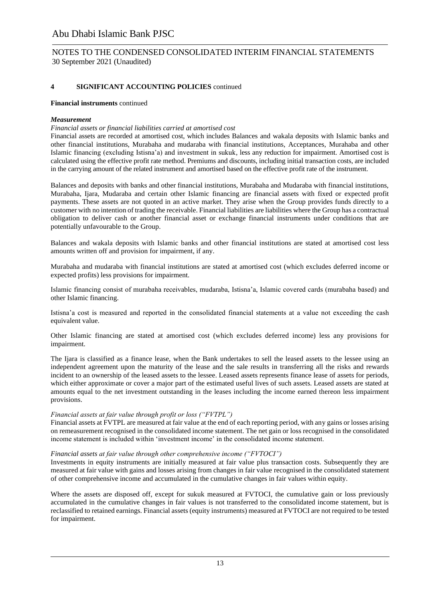### NOTES TO THE CONDENSED CONSOLIDATED INTERIM FINANCIAL STATEMENTS 30 September 2021 (Unaudited)

### **4 SIGNIFICANT ACCOUNTING POLICIES** continued

#### **Financial instruments** continued

#### *Measurement*

#### *Financial assets or financial liabilities carried at amortised cost*

Financial assets are recorded at amortised cost, which includes Balances and wakala deposits with Islamic banks and other financial institutions, Murabaha and mudaraba with financial institutions, Acceptances, Murahaba and other Islamic financing (excluding Istisna'a) and investment in sukuk, less any reduction for impairment. Amortised cost is calculated using the effective profit rate method. Premiums and discounts, including initial transaction costs, are included in the carrying amount of the related instrument and amortised based on the effective profit rate of the instrument.

Balances and deposits with banks and other financial institutions, Murabaha and Mudaraba with financial institutions, Murabaha, Ijara, Mudaraba and certain other Islamic financing are financial assets with fixed or expected profit payments. These assets are not quoted in an active market. They arise when the Group provides funds directly to a customer with no intention of trading the receivable. Financial liabilities are liabilities where the Group has a contractual obligation to deliver cash or another financial asset or exchange financial instruments under conditions that are potentially unfavourable to the Group.

Balances and wakala deposits with Islamic banks and other financial institutions are stated at amortised cost less amounts written off and provision for impairment, if any.

Murabaha and mudaraba with financial institutions are stated at amortised cost (which excludes deferred income or expected profits) less provisions for impairment.

Islamic financing consist of murabaha receivables, mudaraba, Istisna'a, Islamic covered cards (murabaha based) and other Islamic financing.

Istisna'a cost is measured and reported in the consolidated financial statements at a value not exceeding the cash equivalent value.

Other Islamic financing are stated at amortised cost (which excludes deferred income) less any provisions for impairment.

The Ijara is classified as a finance lease, when the Bank undertakes to sell the leased assets to the lessee using an independent agreement upon the maturity of the lease and the sale results in transferring all the risks and rewards incident to an ownership of the leased assets to the lessee. Leased assets represents finance lease of assets for periods, which either approximate or cover a major part of the estimated useful lives of such assets. Leased assets are stated at amounts equal to the net investment outstanding in the leases including the income earned thereon less impairment provisions.

#### *Financial assets at fair value through profit or loss ("FVTPL")*

Financial assets at FVTPL are measured at fair value at the end of each reporting period, with any gains or losses arising on remeasurement recognised in the consolidated income statement. The net gain or loss recognised in the consolidated income statement is included within 'investment income' in the consolidated income statement.

#### *Financial assets at fair value through other comprehensive income ("FVTOCI")*

Investments in equity instruments are initially measured at fair value plus transaction costs. Subsequently they are measured at fair value with gains and losses arising from changes in fair value recognised in the consolidated statement of other comprehensive income and accumulated in the cumulative changes in fair values within equity.

Where the assets are disposed off, except for sukuk measured at FVTOCI, the cumulative gain or loss previously accumulated in the cumulative changes in fair values is not transferred to the consolidated income statement, but is reclassified to retained earnings. Financial assets (equity instruments) measured at FVTOCI are not required to be tested for impairment.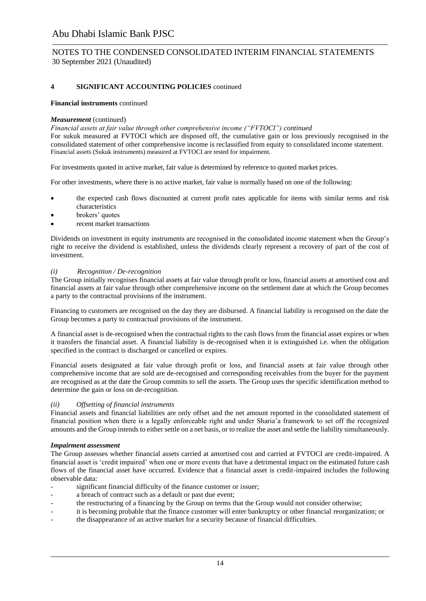### NOTES TO THE CONDENSED CONSOLIDATED INTERIM FINANCIAL STATEMENTS 30 September 2021 (Unaudited)

### **4 SIGNIFICANT ACCOUNTING POLICIES** continued

#### **Financial instruments** continued

#### *Measurement* (continued)

*Financial assets at fair value through other comprehensive income ("FVTOCI") continued* For sukuk measured at FVTOCI which are disposed off, the cumulative gain or loss previously recognised in the consolidated statement of other comprehensive income is reclassified from equity to consolidated income statement. Financial assets (Sukuk instruments) measured at FVTOCI are tested for impairment.

For investments quoted in active market, fair value is determined by reference to quoted market prices.

For other investments, where there is no active market, fair value is normally based on one of the following:

- the expected cash flows discounted at current profit rates applicable for items with similar terms and risk characteristics
- brokers' quotes
- recent market transactions

Dividends on investment in equity instruments are recognised in the consolidated income statement when the Group's right to receive the dividend is established, unless the dividends clearly represent a recovery of part of the cost of investment.

#### *(i) Recognition / De-recognition*

The Group initially recognises financial assets at fair value through profit or loss, financial assets at amortised cost and financial assets at fair value through other comprehensive income on the settlement date at which the Group becomes a party to the contractual provisions of the instrument.

Financing to customers are recognised on the day they are disbursed. A financial liability is recognised on the date the Group becomes a party to contractual provisions of the instrument.

A financial asset is de-recognised when the contractual rights to the cash flows from the financial asset expires or when it transfers the financial asset. A financial liability is de-recognised when it is extinguished i.e. when the obligation specified in the contract is discharged or cancelled or expires.

Financial assets designated at fair value through profit or loss, and financial assets at fair value through other comprehensive income that are sold are de-recognised and corresponding receivables from the buyer for the payment are recognised as at the date the Group commits to sell the assets. The Group uses the specific identification method to determine the gain or loss on de-recognition.

#### *(ii) Offsetting of financial instruments*

Financial assets and financial liabilities are only offset and the net amount reported in the consolidated statement of financial position when there is a legally enforceable right and under Sharia'a framework to set off the recognized amounts and the Group intends to either settle on a net basis, or to realize the asset and settle the liability simultaneously.

#### *Impairment assessment*

The Group assesses whether financial assets carried at amortised cost and carried at FVTOCI are credit-impaired. A financial asset is 'credit impaired' when one or more events that have a detrimental impact on the estimated future cash flows of the financial asset have occurred. Evidence that a financial asset is credit-impaired includes the following observable data:

- significant financial difficulty of the finance customer or issuer;
- a breach of contract such as a default or past due event;
- the restructuring of a financing by the Group on terms that the Group would not consider otherwise;
- it is becoming probable that the finance customer will enter bankruptcy or other financial reorganization; or
- the disappearance of an active market for a security because of financial difficulties.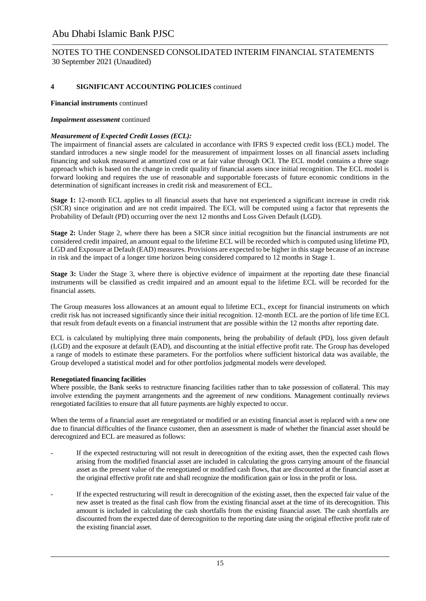### NOTES TO THE CONDENSED CONSOLIDATED INTERIM FINANCIAL STATEMENTS 30 September 2021 (Unaudited)

### **4 SIGNIFICANT ACCOUNTING POLICIES** continued

#### **Financial instruments** continued

#### *Impairment assessment* continued

#### *Measurement of Expected Credit Losses (ECL):*

The impairment of financial assets are calculated in accordance with IFRS 9 expected credit loss (ECL) model. The standard introduces a new single model for the measurement of impairment losses on all financial assets including financing and sukuk measured at amortized cost or at fair value through OCI. The ECL model contains a three stage approach which is based on the change in credit quality of financial assets since initial recognition. The ECL model is forward looking and requires the use of reasonable and supportable forecasts of future economic conditions in the determination of significant increases in credit risk and measurement of ECL.

**Stage 1:** 12-month ECL applies to all financial assets that have not experienced a significant increase in credit risk (SICR) since origination and are not credit impaired. The ECL will be computed using a factor that represents the Probability of Default (PD) occurring over the next 12 months and Loss Given Default (LGD).

**Stage 2:** Under Stage 2, where there has been a SICR since initial recognition but the financial instruments are not considered credit impaired, an amount equal to the lifetime ECL will be recorded which is computed using lifetime PD, LGD and Exposure at Default (EAD) measures. Provisions are expected to be higher in this stage because of an increase in risk and the impact of a longer time horizon being considered compared to 12 months in Stage 1.

**Stage 3:** Under the Stage 3, where there is objective evidence of impairment at the reporting date these financial instruments will be classified as credit impaired and an amount equal to the lifetime ECL will be recorded for the financial assets.

The Group measures loss allowances at an amount equal to lifetime ECL, except for financial instruments on which credit risk has not increased significantly since their initial recognition. 12-month ECL are the portion of life time ECL that result from default events on a financial instrument that are possible within the 12 months after reporting date.

ECL is calculated by multiplying three main components, being the probability of default (PD), loss given default (LGD) and the exposure at default (EAD), and discounting at the initial effective profit rate. The Group has developed a range of models to estimate these parameters. For the portfolios where sufficient historical data was available, the Group developed a statistical model and for other portfolios judgmental models were developed.

#### **Renegotiated financing facilities**

Where possible, the Bank seeks to restructure financing facilities rather than to take possession of collateral. This may involve extending the payment arrangements and the agreement of new conditions. Management continually reviews renegotiated facilities to ensure that all future payments are highly expected to occur.

When the terms of a financial asset are renegotiated or modified or an existing financial asset is replaced with a new one due to financial difficulties of the finance customer, then an assessment is made of whether the financial asset should be derecognized and ECL are measured as follows:

- If the expected restructuring will not result in derecognition of the exiting asset, then the expected cash flows arising from the modified financial asset are included in calculating the gross carrying amount of the financial asset as the present value of the renegotiated or modified cash flows, that are discounted at the financial asset at the original effective profit rate and shall recognize the modification gain or loss in the profit or loss.
- If the expected restructuring will result in derecognition of the existing asset, then the expected fair value of the new asset is treated as the final cash flow from the existing financial asset at the time of its derecognition. This amount is included in calculating the cash shortfalls from the existing financial asset. The cash shortfalls are discounted from the expected date of derecognition to the reporting date using the original effective profit rate of the existing financial asset.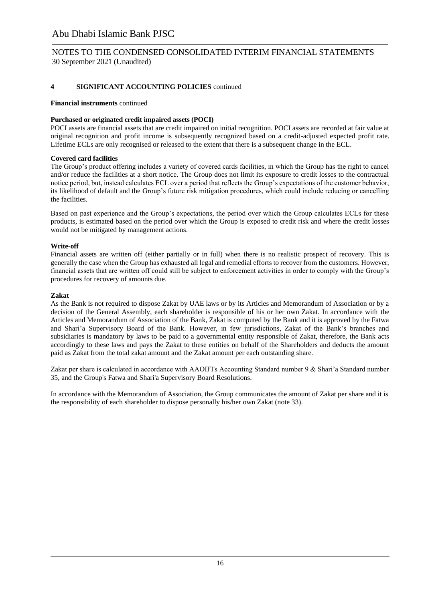### NOTES TO THE CONDENSED CONSOLIDATED INTERIM FINANCIAL STATEMENTS 30 September 2021 (Unaudited)

### **4 SIGNIFICANT ACCOUNTING POLICIES** continued

#### **Financial instruments** continued

#### **Purchased or originated credit impaired assets (POCI)**

POCI assets are financial assets that are credit impaired on initial recognition. POCI assets are recorded at fair value at original recognition and profit income is subsequently recognized based on a credit-adjusted expected profit rate. Lifetime ECLs are only recognised or released to the extent that there is a subsequent change in the ECL.

#### **Covered card facilities**

The Group's product offering includes a variety of covered cards facilities, in which the Group has the right to cancel and/or reduce the facilities at a short notice. The Group does not limit its exposure to credit losses to the contractual notice period, but, instead calculates ECL over a period that reflects the Group's expectations of the customer behavior, its likelihood of default and the Group's future risk mitigation procedures, which could include reducing or cancelling the facilities.

Based on past experience and the Group's expectations, the period over which the Group calculates ECLs for these products, is estimated based on the period over which the Group is exposed to credit risk and where the credit losses would not be mitigated by management actions.

#### **Write-off**

Financial assets are written off (either partially or in full) when there is no realistic prospect of recovery. This is generally the case when the Group has exhausted all legal and remedial efforts to recover from the customers. However, financial assets that are written off could still be subject to enforcement activities in order to comply with the Group's procedures for recovery of amounts due.

#### **Zakat**

As the Bank is not required to dispose Zakat by UAE laws or by its Articles and Memorandum of Association or by a decision of the General Assembly, each shareholder is responsible of his or her own Zakat. In accordance with the Articles and Memorandum of Association of the Bank, Zakat is computed by the Bank and it is approved by the Fatwa and Shari'a Supervisory Board of the Bank. However, in few jurisdictions, Zakat of the Bank's branches and subsidiaries is mandatory by laws to be paid to a governmental entity responsible of Zakat, therefore, the Bank acts accordingly to these laws and pays the Zakat to these entities on behalf of the Shareholders and deducts the amount paid as Zakat from the total zakat amount and the Zakat amount per each outstanding share.

Zakat per share is calculated in accordance with AAOIFI's Accounting Standard number 9 & Shari'a Standard number 35, and the Group's Fatwa and Shari'a Supervisory Board Resolutions.

In accordance with the Memorandum of Association, the Group communicates the amount of Zakat per share and it is the responsibility of each shareholder to dispose personally his/her own Zakat (note 33).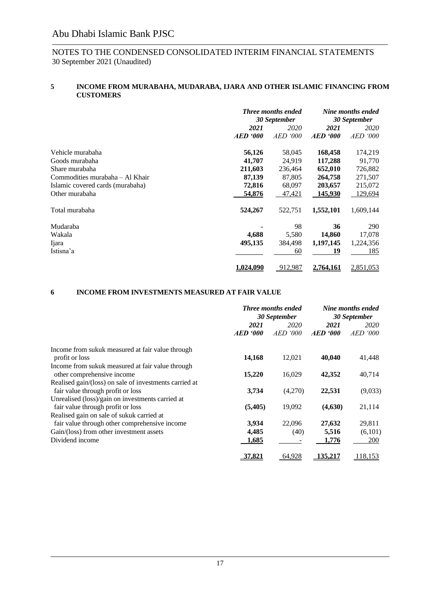#### **5 INCOME FROM MURABAHA, MUDARABA, IJARA AND OTHER ISLAMIC FINANCING FROM CUSTOMERS**

|                                  | <b>Three months ended</b><br>30 September |            | Nine months ended<br>30 September |                 |      |      |
|----------------------------------|-------------------------------------------|------------|-----------------------------------|-----------------|------|------|
|                                  |                                           |            |                                   |                 |      |      |
|                                  | 2021<br>2020                              |            |                                   |                 | 2021 | 2020 |
|                                  | <b>AED</b> '000                           | AED<br>000 | $AED \textit{'}000$               | <i>AED</i> '000 |      |      |
| Vehicle murabaha                 | 56,126                                    | 58,045     | 168,458                           | 174,219         |      |      |
| Goods murabaha                   | 41,707                                    | 24,919     | 117,288                           | 91,770          |      |      |
| Share murabaha                   | 211,603                                   | 236,464    | 652,010                           | 726,882         |      |      |
| Commodities murabaha - Al Khair  | 87,139                                    | 87,805     | 264,758                           | 271,507         |      |      |
| Islamic covered cards (murabaha) | 72,816                                    | 68,097     | 203,657                           | 215,072         |      |      |
| Other murabaha                   | 54,876                                    | 47,421     | 145,930                           | 129,694         |      |      |
| Total murabaha                   | 524,267                                   | 522,751    | 1,552,101                         | 1,609,144       |      |      |
| Mudaraba                         |                                           | 98         | 36                                | 290             |      |      |
| Wakala                           | 4,688                                     | 5,580      | 14,860                            | 17,078          |      |      |
| Ijara                            | 495,135                                   | 384,498    | 1,197,145                         | 1,224,356       |      |      |
| Istisna'a                        |                                           | 60         | 19                                | 185             |      |      |
|                                  | <u>1.024.090</u>                          | 912,987    | 2.764.161                         | 2,851,053       |      |      |

#### **6 INCOME FROM INVESTMENTS MEASURED AT FAIR VALUE**

|                                                        | <b>Three months ended</b><br>30 September |             | Nine months ended<br>30 September |                 |  |
|--------------------------------------------------------|-------------------------------------------|-------------|-----------------------------------|-----------------|--|
|                                                        | 2021                                      | 2020        | 2021                              | 2020            |  |
|                                                        | $AED \text{ } '000$                       | AED.<br>000 | $AED \cdot 000$                   | <i>AED</i> '000 |  |
| Income from sukuk measured at fair value through       |                                           |             |                                   |                 |  |
| profit or loss                                         | 14,168                                    | 12,021      | 40,040                            | 41,448          |  |
| Income from sukuk measured at fair value through       |                                           |             |                                   |                 |  |
| other comprehensive income                             | 15,220                                    | 16,029      | 42,352                            | 40,714          |  |
| Realised gain/(loss) on sale of investments carried at |                                           |             |                                   |                 |  |
| fair value through profit or loss                      | 3,734                                     | (4,270)     | 22,531                            | (9,033)         |  |
| Unrealised (loss)/gain on investments carried at       |                                           |             |                                   |                 |  |
| fair value through profit or loss                      | (5,405)                                   | 19,092      | (4,630)                           | 21,114          |  |
| Realised gain on sale of sukuk carried at              |                                           |             |                                   |                 |  |
| fair value through other comprehensive income          | 3,934                                     | 22,096      | 27,632                            | 29,811          |  |
| Gain/(loss) from other investment assets               | 4,485                                     | (40)        | 5,516                             | (6,101)         |  |
| Dividend income                                        | 1,685                                     |             | 1,776                             | <b>200</b>      |  |
|                                                        | 37,821                                    | 64,928      | 135.217                           | 118,153         |  |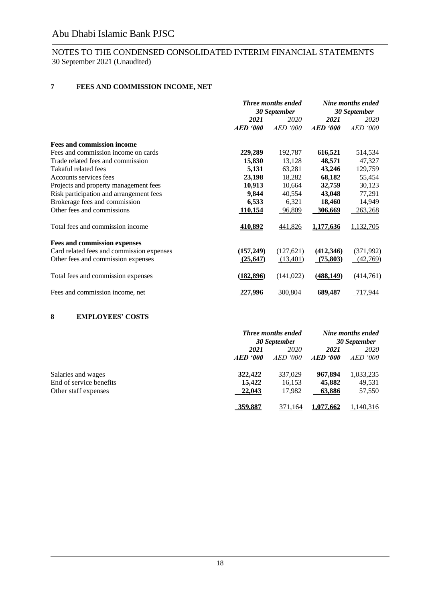### NOTES TO THE CONDENSED CONSOLIDATED INTERIM FINANCIAL STATEMENTS 30 September 2021 (Unaudited)

### **7 FEES AND COMMISSION INCOME, NET**

|                                           | <b>Three months ended</b><br>30 September |            | Nine months ended<br>30 September |                 |
|-------------------------------------------|-------------------------------------------|------------|-----------------------------------|-----------------|
|                                           | 2021<br>2020                              |            | 2021                              | 2020            |
|                                           | $AED \cdot 000$                           | AED<br>000 | <b>AED</b> '000                   | <b>AED</b> '000 |
| <b>Fees and commission income</b>         |                                           |            |                                   |                 |
| Fees and commission income on cards       | 229,289                                   | 192,787    | 616,521                           | 514,534         |
| Trade related fees and commission         | 15,830                                    | 13,128     | 48,571                            | 47,327          |
| Takaful related fees                      | 5,131                                     | 63,281     | 43,246                            | 129,759         |
| Accounts services fees                    | 23,198                                    | 18,282     | 68,182                            | 55,454          |
| Projects and property management fees     | 10,913                                    | 10,664     | 32,759                            | 30,123          |
| Risk participation and arrangement fees   | 9,844                                     | 40,554     | 43,048                            | 77,291          |
| Brokerage fees and commission             | 6,533                                     | 6,321      | 18,460                            | 14,949          |
| Other fees and commissions                | 110,154                                   | 96,809     | 306,669                           | 263,268         |
| Total fees and commission income          | 410,892                                   | 441,826    | 1,177,636                         | 1,132,705       |
| <b>Fees and commission expenses</b>       |                                           |            |                                   |                 |
| Card related fees and commission expenses | (157,249)                                 | (127, 621) | (412,346)                         | (371,992)       |
| Other fees and commission expenses        | (25, 647)                                 | (13,401)   | (75,803)                          | (42,769)        |
| Total fees and commission expenses        | (182, 896)                                | (141, 022) | (488, 149)                        | (414,761)       |
| Fees and commission income, net           | 227,996                                   | 300,804    | <u>689,487</u>                    | 717,944         |

### **8 EMPLOYEES' COSTS**

|                         |          | <b>Three months ended</b><br>30 September |           | Nine months ended<br>30 September |
|-------------------------|----------|-------------------------------------------|-----------|-----------------------------------|
|                         | 2021     | 2020                                      | 2021      | 2020                              |
|                         | AED '000 | <i>AED '000</i>                           | AED '000  | <i>AED '000</i>                   |
| Salaries and wages      | 322,422  | 337,029                                   | 967,894   | 1,033,235                         |
| End of service benefits | 15.422   | 16,153                                    | 45,882    | 49,531                            |
| Other staff expenses    | 22,043   | 17,982                                    | 63,886    | 57,550                            |
|                         | 359,887  | 371.164                                   | 1.077.662 | ,140,316                          |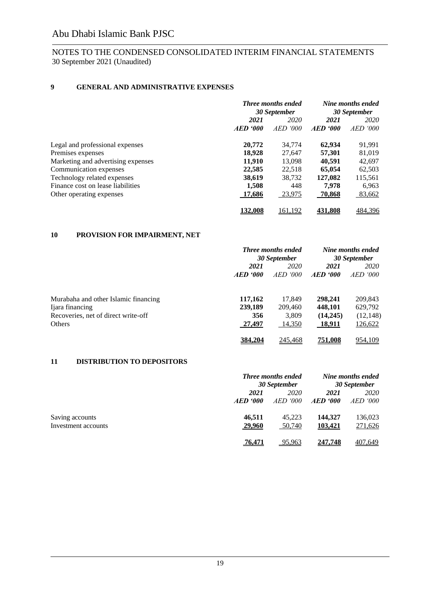### NOTES TO THE CONDENSED CONSOLIDATED INTERIM FINANCIAL STATEMENTS 30 September 2021 (Unaudited)

### **9 GENERAL AND ADMINISTRATIVE EXPENSES**

|                                    | <b>Three months ended</b><br>30 September |                          | Nine months ended<br>30 September |         |
|------------------------------------|-------------------------------------------|--------------------------|-----------------------------------|---------|
|                                    | 2021                                      | 2020                     | 2021                              | 2020    |
|                                    | $AED \textit{'}000$                       | <i>AED</i><br><i>000</i> | $AED \textit{'}000$               | AED 000 |
| Legal and professional expenses    | 20,772                                    | 34,774                   | 62.934                            | 91,991  |
| Premises expenses                  | 18.928                                    | 27.647                   | 57,301                            | 81,019  |
| Marketing and advertising expenses | 11,910                                    | 13,098                   | 40,591                            | 42,697  |
| Communication expenses             | 22,585                                    | 22,518                   | 65,054                            | 62,503  |
| Technology related expenses        | 38,619                                    | 38,732                   | 127.082                           | 115,561 |
| Finance cost on lease liabilities  | 1.508                                     | 448                      | 7.978                             | 6,963   |
| Other operating expenses           | 17,686                                    | 23,975                   | <b>70,868</b>                     | 83,662  |
|                                    | <b>132.008</b>                            | 161,192                  | 431.808                           | 484,396 |

### **10 PROVISION FOR IMPAIRMENT, NET**

|                                      |                | <b>Three months ended</b> |              | Nine months ended |
|--------------------------------------|----------------|---------------------------|--------------|-------------------|
|                                      | 30 September   |                           | 30 September |                   |
|                                      | 2021           | 2020                      | 2021         | <i>2020</i>       |
|                                      | AED '000       | <i>AED '000</i>           | AED '000     | AED 000           |
| Murabaha and other Islamic financing | 117,162        | 17.849                    | 298,241      | 209,843           |
| Ijara financing                      | 239,189        | 209,460                   | 448.101      | 629,792           |
| Recoveries, net of direct write-off  | 356            | 3.809                     | (14,245)     | (12, 148)         |
| Others                               | 27,497         | 14,350                    | 18,911       | 126,622           |
|                                      | <u>384.204</u> | 245,468                   | 751.008      | 954,109           |

### **11 DISTRIBUTION TO DEPOSITORS**

|                     |                     | <b>Three months ended</b><br>30 September |                     | Nine months ended<br><b>30 September</b> |  |
|---------------------|---------------------|-------------------------------------------|---------------------|------------------------------------------|--|
|                     | 2021                | 2020                                      | 2021                | 2020                                     |  |
|                     | $AED \textit{'}000$ | <i>AED '000</i>                           | $AED \textit{'}000$ | <i>AED '000</i>                          |  |
| Saving accounts     | 46.511              | 45.223                                    | 144,327             | 136,023                                  |  |
| Investment accounts | 29,960              | 50,740                                    | <u>103,421</u>      | 271,626                                  |  |
|                     | 76.471              | 95.963                                    | 247.748             | 407,649                                  |  |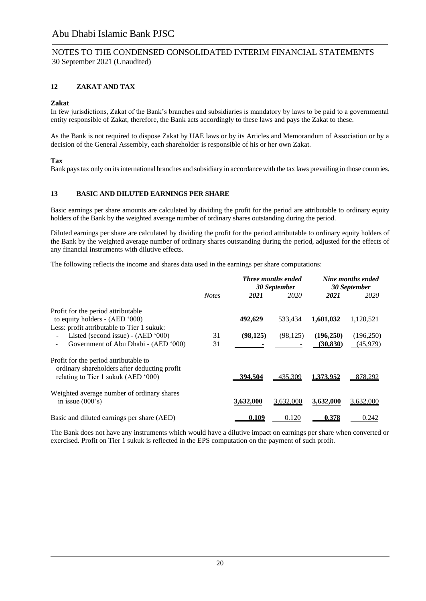### NOTES TO THE CONDENSED CONSOLIDATED INTERIM FINANCIAL STATEMENTS 30 September 2021 (Unaudited)

### **12 ZAKAT AND TAX**

#### **Zakat**

In few jurisdictions, Zakat of the Bank's branches and subsidiaries is mandatory by laws to be paid to a governmental entity responsible of Zakat, therefore, the Bank acts accordingly to these laws and pays the Zakat to these.

As the Bank is not required to dispose Zakat by UAE laws or by its Articles and Memorandum of Association or by a decision of the General Assembly, each shareholder is responsible of his or her own Zakat.

#### **Tax**

Bank pays tax only on its international branches and subsidiary in accordance with the tax laws prevailing in those countries.

#### **13 BASIC AND DILUTED EARNINGS PER SHARE**

Basic earnings per share amounts are calculated by dividing the profit for the period are attributable to ordinary equity holders of the Bank by the weighted average number of ordinary shares outstanding during the period.

Diluted earnings per share are calculated by dividing the profit for the period attributable to ordinary equity holders of the Bank by the weighted average number of ordinary shares outstanding during the period, adjusted for the effects of any financial instruments with dilutive effects.

The following reflects the income and shares data used in the earnings per share computations:

|                                                                                                                              |              |           | <b>Three months ended</b><br>30 September |                        | Nine months ended<br>30 September |
|------------------------------------------------------------------------------------------------------------------------------|--------------|-----------|-------------------------------------------|------------------------|-----------------------------------|
|                                                                                                                              | <b>Notes</b> | 2021      | 2020                                      | 2021                   | 2020                              |
| Profit for the period attributable<br>to equity holders - $(AED '000)$<br>Less: profit attributable to Tier 1 sukuk:         |              | 492,629   | 533.434                                   | 1,601,032              | 1,120,521                         |
| Listed (second issue) - (AED '000)<br>Government of Abu Dhabi - (AED '000)                                                   | 31<br>31     | (98, 125) | (98, 125)                                 | (196,250)<br>(30, 830) | (196, 250)<br>(45,979)            |
| Profit for the period attributable to<br>ordinary shareholders after deducting profit<br>relating to Tier 1 sukuk (AED '000) |              | 394.504   | 435,309                                   | 1,373,952              | 878,292                           |
| Weighted average number of ordinary shares<br>in issue $(000's)$                                                             |              | 3.632.000 | 3,632,000                                 | 3.632.000              | 3,632,000                         |
| Basic and diluted earnings per share (AED)                                                                                   |              | 0.109     | 0.120                                     | 0.378                  | 0.242                             |

The Bank does not have any instruments which would have a dilutive impact on earnings per share when converted or exercised. Profit on Tier 1 sukuk is reflected in the EPS computation on the payment of such profit.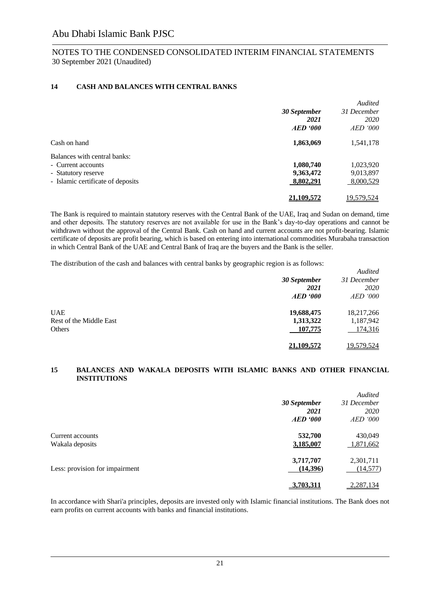### **14 CASH AND BALANCES WITH CENTRAL BANKS**

|                                   |              | Audited         |
|-----------------------------------|--------------|-----------------|
|                                   | 30 September | 31 December     |
|                                   | 2021         | <i>2020</i>     |
|                                   | AED 900      | <i>AED</i> '000 |
| Cash on hand                      | 1,863,069    | 1,541,178       |
| Balances with central banks:      |              |                 |
| - Current accounts                | 1,080,740    | 1,023,920       |
| - Statutory reserve               | 9,363,472    | 9,013,897       |
| - Islamic certificate of deposits | 8,802,291    | 8,000,529       |
|                                   | 21,109,572   | 19,579,524      |

The Bank is required to maintain statutory reserves with the Central Bank of the UAE, Iraq and Sudan on demand, time and other deposits. The statutory reserves are not available for use in the Bank's day-to-day operations and cannot be withdrawn without the approval of the Central Bank. Cash on hand and current accounts are not profit-bearing. Islamic certificate of deposits are profit bearing, which is based on entering into international commodities Murabaha transaction in which Central Bank of the UAE and Central Bank of Iraq are the buyers and the Bank is the seller.

The distribution of the cash and balances with central banks by geographic region is as follows:

|                         |              | Audited         |
|-------------------------|--------------|-----------------|
|                         | 30 September | 31 December     |
|                         | 2021         | 2020            |
|                         | AED 900      | <i>AED</i> '000 |
| <b>UAE</b>              | 19,688,475   | 18,217,266      |
| Rest of the Middle East | 1,313,322    | 1,187,942       |
| Others                  | 107,775      | 174,316         |
|                         | 21.109.572   | 19,579,524      |

#### **15 BALANCES AND WAKALA DEPOSITS WITH ISLAMIC BANKS AND OTHER FINANCIAL INSTITUTIONS**

|                                     | 30 September<br>2021<br>$AED \text{ } '000$ | Audited<br>31 December<br>2020<br><i>AED</i> '000 |
|-------------------------------------|---------------------------------------------|---------------------------------------------------|
| Current accounts<br>Wakala deposits | 532,700<br>3,185,007                        | 430,049<br>1,871,662                              |
| Less: provision for impairment      | 3,717,707<br>(14,396)                       | 2,301,711<br>(14, 577)                            |
|                                     | 3.703.311                                   | 2,287,134                                         |

In accordance with Shari'a principles, deposits are invested only with Islamic financial institutions. The Bank does not earn profits on current accounts with banks and financial institutions.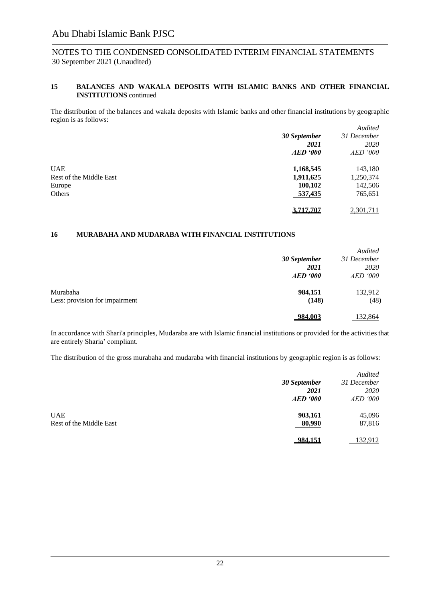### NOTES TO THE CONDENSED CONSOLIDATED INTERIM FINANCIAL STATEMENTS 30 September 2021 (Unaudited)

#### **15 BALANCES AND WAKALA DEPOSITS WITH ISLAMIC BANKS AND OTHER FINANCIAL INSTITUTIONS** continued

The distribution of the balances and wakala deposits with Islamic banks and other financial institutions by geographic region is as follows:

| ີ                       |              | Audited         |
|-------------------------|--------------|-----------------|
|                         | 30 September | 31 December     |
|                         | 2021         | 2020            |
|                         | AED 900      | <i>AED</i> '000 |
| <b>UAE</b>              | 1,168,545    | 143,180         |
| Rest of the Middle East | 1,911,625    | 1,250,374       |
| Europe                  | 100,102      | 142,506         |
| Others                  | 537,435      | 765,651         |
|                         | 3,717,707    | 2,301,711       |

#### **16 MURABAHA AND MUDARABA WITH FINANCIAL INSTITUTIONS**

|                                |                 | Audited         |
|--------------------------------|-----------------|-----------------|
|                                | 30 September    | 31 December     |
|                                | 2021            | <i>2020</i>     |
|                                | <b>AED</b> '000 | <i>AED</i> '000 |
| Murabaha                       | 984,151         | 132,912         |
| Less: provision for impairment | (148)           | (48)            |
|                                | 984.003         | 132,864         |

In accordance with Shari'a principles, Mudaraba are with Islamic financial institutions or provided for the activities that are entirely Sharia' compliant.

The distribution of the gross murabaha and mudaraba with financial institutions by geographic region is as follows:

|              | Audited         |
|--------------|-----------------|
| 30 September | 31 December     |
| 2021         | 2020            |
| AED 900      | <i>AED</i> '000 |
| 903,161      | 45,096          |
| 80,990       | 87,816          |
| 984,151      | 132,912         |
|              |                 |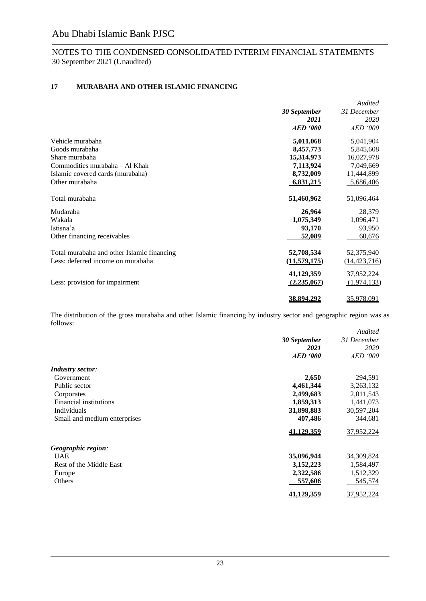### **17 MURABAHA AND OTHER ISLAMIC FINANCING**

|                                            | 30 September<br>2021<br><b>AED</b> '000 | Audited<br>31 December<br>2020<br><b>AED</b> '000 |
|--------------------------------------------|-----------------------------------------|---------------------------------------------------|
| Vehicle murabaha                           | 5,011,068                               | 5,041,904                                         |
| Goods murabaha                             | 8,457,773                               | 5,845,608                                         |
| Share murabaha                             | 15,314,973                              | 16,027,978                                        |
| Commodities murabaha - Al Khair            | 7,113,924                               | 7,049,669                                         |
| Islamic covered cards (murabaha)           | 8,732,009                               | 11,444,899                                        |
| Other murabaha                             | 6,831,215                               | 5,686,406                                         |
| Total murabaha                             | 51,460,962                              | 51,096,464                                        |
| Mudaraba                                   | 26,964                                  | 28,379                                            |
| Wakala                                     | 1,075,349                               | 1,096,471                                         |
| Istisna'a                                  | 93,170                                  | 93,950                                            |
| Other financing receivables                | 52,089                                  | 60,676                                            |
| Total murabaha and other Islamic financing | 52,708,534                              | 52,375,940                                        |
| Less: deferred income on murabaha          | (11,579,175)                            | (14, 423, 716)                                    |
|                                            | 41,129,359                              | 37,952,224                                        |
| Less: provision for impairment             | (2,235,067)                             | (1,974,133)                                       |
|                                            | 38.894.292                              | 35,978,091                                        |

The distribution of the gross murabaha and other Islamic financing by industry sector and geographic region was as follows:

|                              |                     | <b>Audited</b>  |
|------------------------------|---------------------|-----------------|
|                              | <b>30 September</b> | 31 December     |
|                              | 2021                | 2020            |
|                              | <b>AED</b> '000     | <i>AED</i> '000 |
| <b>Industry sector:</b>      |                     |                 |
| Government                   | 2,650               | 294,591         |
| Public sector                | 4,461,344           | 3,263,132       |
| Corporates                   | 2,499,683           | 2,011,543       |
| Financial institutions       | 1,859,313           | 1,441,073       |
| Individuals                  | 31,898,883          | 30,597,204      |
| Small and medium enterprises | 407,486             | 344,681         |
|                              | 41,129,359          | 37,952,224      |
| Geographic region:           |                     |                 |
| <b>UAE</b>                   | 35,096,944          | 34,309,824      |
| Rest of the Middle East      | 3,152,223           | 1,584,497       |
| Europe                       | 2,322,586           | 1,512,329       |
| Others                       | 557,606             | 545,574         |
|                              | <u>41.129.359</u>   | 37,952,224      |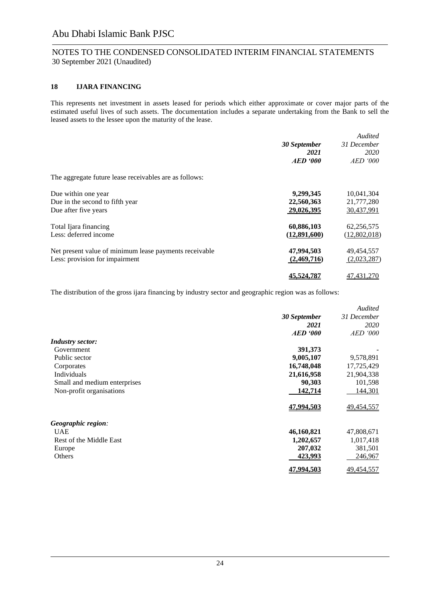### NOTES TO THE CONDENSED CONSOLIDATED INTERIM FINANCIAL STATEMENTS 30 September 2021 (Unaudited)

#### **18 IJARA FINANCING**

This represents net investment in assets leased for periods which either approximate or cover major parts of the estimated useful lives of such assets. The documentation includes a separate undertaking from the Bank to sell the leased assets to the lessee upon the maturity of the lease.

|                                                        |                   | Audited      |
|--------------------------------------------------------|-------------------|--------------|
|                                                        | 30 September      | 31 December  |
|                                                        | 2021              | <i>2020</i>  |
|                                                        | <b>AED</b> '000   | AED 000      |
| The aggregate future lease receivables are as follows: |                   |              |
| Due within one year                                    | 9,299,345         | 10,041,304   |
| Due in the second to fifth year                        | 22,560,363        | 21,777,280   |
| Due after five years                                   | 29,026,395        | 30,437,991   |
| Total Ijara financing                                  | 60,886,103        | 62,256,575   |
| Less: deferred income                                  | (12,891,600)      | (12,802,018) |
| Net present value of minimum lease payments receivable | 47,994,503        | 49,454,557   |
| Less: provision for impairment                         | (2,469,716)       | (2,023,287)  |
|                                                        | <u>45.524.787</u> | 47, 431, 270 |

The distribution of the gross ijara financing by industry sector and geographic region was as follows:

|                              |                 | <b>Audited</b>  |
|------------------------------|-----------------|-----------------|
|                              | 30 September    | 31 December     |
|                              | 2021            | 2020            |
|                              | <b>AED</b> '000 | <i>AED</i> '000 |
| <b>Industry sector:</b>      |                 |                 |
| Government                   | 391,373         |                 |
| Public sector                | 9,005,107       | 9,578,891       |
| Corporates                   | 16,748,048      | 17,725,429      |
| Individuals                  | 21,616,958      | 21,904,338      |
| Small and medium enterprises | 90,303          | 101,598         |
| Non-profit organisations     | 142,714         | 144,301         |
|                              | 47,994,503      | 49,454,557      |
| Geographic region:           |                 |                 |
| <b>UAE</b>                   | 46,160,821      | 47,808,671      |
| Rest of the Middle East      | 1,202,657       | 1,017,418       |
| Europe                       | 207,032         | 381,501         |
| Others                       | 423,993         | 246,967         |
|                              | 47.994.503      | 49,454,557      |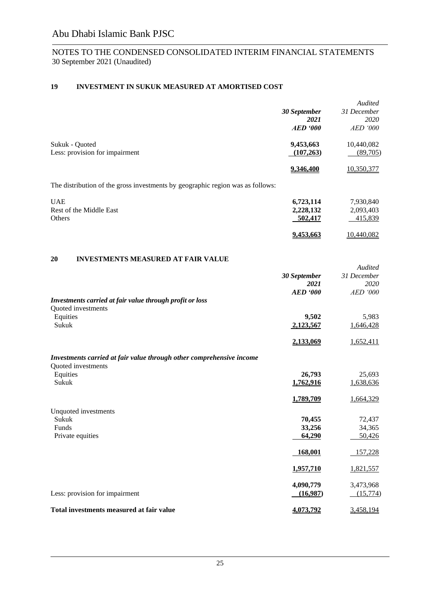### **19 INVESTMENT IN SUKUK MEASURED AT AMORTISED COST**

|                                                                                |              | <b>Audited</b>  |
|--------------------------------------------------------------------------------|--------------|-----------------|
|                                                                                | 30 September | 31 December     |
|                                                                                | 2021         | 2020            |
|                                                                                | AED 900      | <i>AED</i> '000 |
| Sukuk - Quoted                                                                 | 9,453,663    | 10,440,082      |
| Less: provision for impairment                                                 | (107, 263)   | (89,705)        |
|                                                                                | 9,346,400    | 10,350,377      |
| The distribution of the gross investments by geographic region was as follows: |              |                 |
| <b>UAE</b>                                                                     | 6,723,114    | 7,930,840       |
| Rest of the Middle East                                                        | 2,228,132    | 2,093,403       |
| Others                                                                         | 502,417      | 415,839         |

**9,453,663** 10,440,082

#### **20 INVESTMENTS MEASURED AT FAIR VALUE**

|                                                                                            | 30 September<br>2021<br><b>AED</b> '000 | Audited<br>31 December<br>2020<br>AED '000 |
|--------------------------------------------------------------------------------------------|-----------------------------------------|--------------------------------------------|
| Investments carried at fair value through profit or loss                                   |                                         |                                            |
| Quoted investments<br>Equities<br>Sukuk                                                    | 9,502<br>2,123,567                      | 5,983<br>1,646,428                         |
|                                                                                            | 2,133,069                               | 1,652,411                                  |
| Investments carried at fair value through other comprehensive income<br>Quoted investments |                                         |                                            |
| Equities                                                                                   | 26,793                                  | 25,693                                     |
| Sukuk                                                                                      | 1,762,916                               | 1,638,636                                  |
|                                                                                            | 1,789,709                               | 1,664,329                                  |
| Unquoted investments                                                                       |                                         |                                            |
| Sukuk                                                                                      | 70,455                                  | 72,437                                     |
| Funds<br>Private equities                                                                  | 33,256<br>64,290                        | 34,365<br>50,426                           |
|                                                                                            | 168,001                                 | 157,228                                    |
|                                                                                            | 1,957,710                               | 1,821,557                                  |
| Less: provision for impairment                                                             | 4,090,779<br>(16,987)                   | 3,473,968<br>(15,774)                      |
| Total investments measured at fair value                                                   | 4,073,792                               | 3,458,194                                  |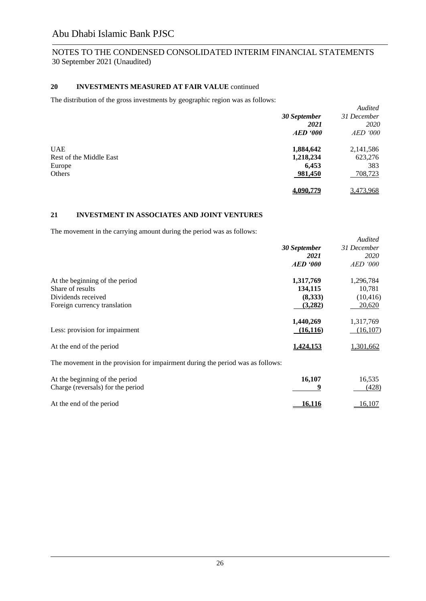### **20 INVESTMENTS MEASURED AT FAIR VALUE** continued

The distribution of the gross investments by geographic region was as follows:

|                         |                     | Audited         |
|-------------------------|---------------------|-----------------|
|                         | 30 September        | 31 December     |
|                         | 2021                | 2020            |
|                         | $AED \textit{'}000$ | <b>AED</b> '000 |
| <b>UAE</b>              | 1,884,642           | 2,141,586       |
| Rest of the Middle East | 1,218,234           | 623,276         |
| Europe                  | 6,453               | 383             |
| Others                  | 981,450             | 708,723         |
|                         | 4.090.779           | 3,473,968       |

### **21 INVESTMENT IN ASSOCIATES AND JOINT VENTURES**

The movement in the carrying amount during the period was as follows:

|                                                                                |                     | <b>Audited</b>  |
|--------------------------------------------------------------------------------|---------------------|-----------------|
|                                                                                | <b>30 September</b> | 31 December     |
|                                                                                | 2021                | 2020            |
|                                                                                | <b>AED</b> '000     | <i>AED</i> '000 |
| At the beginning of the period                                                 | 1,317,769           | 1,296,784       |
| Share of results                                                               | 134,115             | 10,781          |
| Dividends received                                                             | (8,333)             | (10, 416)       |
| Foreign currency translation                                                   | (3,282)             | 20,620          |
|                                                                                | 1,440,269           | 1,317,769       |
| Less: provision for impairment                                                 | (16, 116)           | (16,107)        |
| At the end of the period                                                       | <u>1.424.153</u>    | 1,301,662       |
| The movement in the provision for impairment during the period was as follows: |                     |                 |
| At the beginning of the period                                                 | 16,107              | 16,535          |
| Charge (reversals) for the period                                              | 9                   | (428)           |
| At the end of the period                                                       | 16,116              | 16,107          |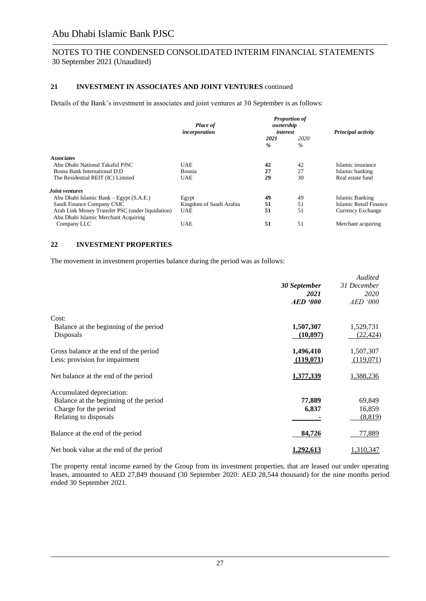### NOTES TO THE CONDENSED CONSOLIDATED INTERIM FINANCIAL STATEMENTS 30 September 2021 (Unaudited)

#### **21 INVESTMENT IN ASSOCIATES AND JOINT VENTURES** continued

Details of the Bank's investment in associates and joint ventures at 30 September is as follows:

| <b>Place of</b><br>incorporation | <b>Proportion of</b><br>ownership<br>interest |                       | Principal activity     |
|----------------------------------|-----------------------------------------------|-----------------------|------------------------|
|                                  | 2021<br>$\frac{9}{6}$                         | 2020<br>$\frac{0}{0}$ |                        |
|                                  |                                               |                       |                        |
| <b>UAE</b>                       | 42                                            | 42                    | Islamic insurance      |
| Bosnia                           | 27                                            | 27                    | Islamic banking        |
| <b>UAE</b>                       | 29                                            | 30                    | Real estate fund       |
|                                  |                                               |                       |                        |
| Egypt                            | 49                                            | 49                    | Islamic Banking        |
| Kingdom of Saudi Arabia          | 51                                            | 51                    | Islamic Retail Finance |
| <b>UAE</b>                       | 51                                            | 51                    | Currency Exchange      |
| <b>UAE</b>                       | 51                                            | 51                    | Merchant acquiring     |
|                                  |                                               |                       |                        |

#### **22 INVESTMENT PROPERTIES**

The movement in investment properties balance during the period was as follows:

|                                         |                     | Audited     |
|-----------------------------------------|---------------------|-------------|
|                                         | 30 September        | 31 December |
|                                         | 2021                | 2020        |
|                                         | $AED \text{ } '000$ | AED '000    |
| Cost:                                   |                     |             |
| Balance at the beginning of the period  | 1,507,307           | 1,529,731   |
| Disposals                               | (10, 897)           | (22, 424)   |
| Gross balance at the end of the period  | 1,496,410           | 1,507,307   |
| Less: provision for impairment          | (119,071)           | (119,071)   |
| Net balance at the end of the period    | 1,377,339           | 1,388,236   |
| Accumulated depreciation:               |                     |             |
| Balance at the beginning of the period  | 77,889              | 69,849      |
| Charge for the period                   | 6,837               | 16,859      |
| Relating to disposals                   |                     | (8, 819)    |
| Balance at the end of the period        | 84,726              | 77,889      |
| Net book value at the end of the period | <u>1,292,613</u>    | 1,310,347   |

The property rental income earned by the Group from its investment properties, that are leased out under operating leases, amounted to AED 27,849 thousand (30 September 2020: AED 28,544 thousand) for the nine months period ended 30 September 2021.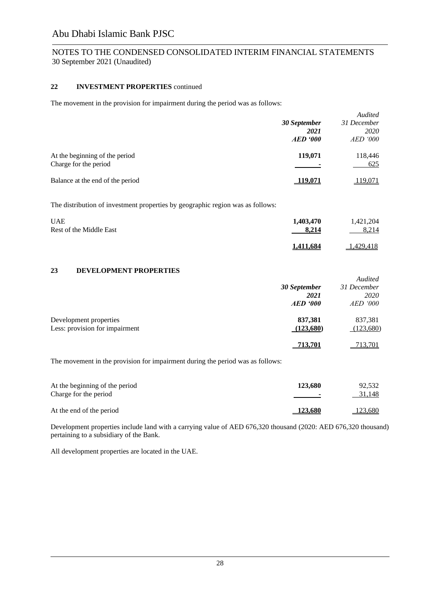### NOTES TO THE CONDENSED CONSOLIDATED INTERIM FINANCIAL STATEMENTS 30 September 2021 (Unaudited)

#### **22 INVESTMENT PROPERTIES** continued

The movement in the provision for impairment during the period was as follows:

|                                                         | 30 September<br>2021<br>AED 900 | Audited<br>31 December<br><i>2020</i><br><i>AED</i> '000 |
|---------------------------------------------------------|---------------------------------|----------------------------------------------------------|
| At the beginning of the period<br>Charge for the period | 119,071                         | 118,446<br>625                                           |
| Balance at the end of the period                        | <u> 19.07'</u>                  | 119,071                                                  |

The distribution of investment properties by geographic region was as follows:

| <b>UAE</b>              | 1,403,470        | 1,421,204 |
|-------------------------|------------------|-----------|
| Rest of the Middle East | 8.214            | 8.214     |
|                         | <u>1,411,684</u> | 1.429.418 |

### **23 DEVELOPMENT PROPERTIES**

|                                |              | Audited         |
|--------------------------------|--------------|-----------------|
|                                | 30 September | 31 December     |
|                                | 2021         | <i>2020</i>     |
|                                | AED 900      | <i>AED</i> '000 |
| Development properties         | 837,381      | 837,381         |
| Less: provision for impairment | (123,680)    | (123,680)       |
|                                | 713,701      | 713,701         |

The movement in the provision for impairment during the period was as follows:

| At the beginning of the period<br>Charge for the period | 123,680        | 92,532<br>31,148 |
|---------------------------------------------------------|----------------|------------------|
| At the end of the period                                | <b>123,680</b> | 123,680          |

Development properties include land with a carrying value of AED 676,320 thousand (2020: AED 676,320 thousand) pertaining to a subsidiary of the Bank.

All development properties are located in the UAE.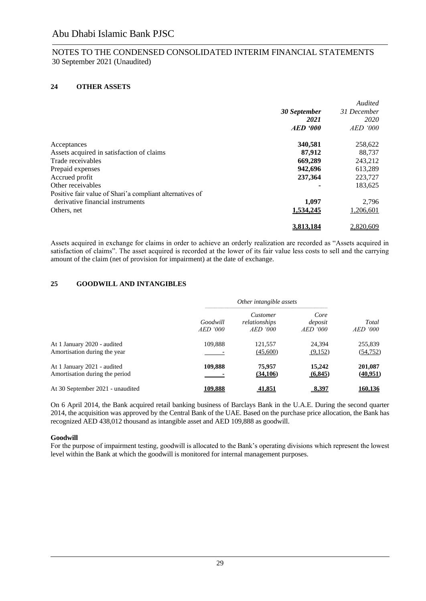### **24 OTHER ASSETS**

|                                                          |                     | Audited     |
|----------------------------------------------------------|---------------------|-------------|
|                                                          | <b>30 September</b> | 31 December |
|                                                          | 2021                | <i>2020</i> |
|                                                          | AED 900             | $AED$ '000  |
| Acceptances                                              | 340,581             | 258,622     |
| Assets acquired in satisfaction of claims                | 87,912              | 88.737      |
| Trade receivables                                        | 669,289             | 243,212     |
| Prepaid expenses                                         | 942,696             | 613,289     |
| Accrued profit                                           | 237,364             | 223,727     |
| Other receivables                                        |                     | 183,625     |
| Positive fair value of Shari'a compliant alternatives of |                     |             |
| derivative financial instruments                         | 1,097               | 2.796       |
| Others, net                                              | 1,534,245           | 1,206,601   |
|                                                          | 3,813,184           | 2,820,609   |

Assets acquired in exchange for claims in order to achieve an orderly realization are recorded as "Assets acquired in satisfaction of claims". The asset acquired is recorded at the lower of its fair value less costs to sell and the carrying amount of the claim (net of provision for impairment) at the date of exchange.

### **25 GOODWILL AND INTANGIBLES**

|                                                               | Other intangible assets     |                                              |                                    |                      |
|---------------------------------------------------------------|-----------------------------|----------------------------------------------|------------------------------------|----------------------|
|                                                               | Goodwill<br><i>AED</i> '000 | Customer<br>relationships<br><i>AED</i> '000 | Core<br>deposit<br><i>AED</i> '000 | Total<br>AED '000    |
| At 1 January 2020 - audited<br>Amortisation during the year   | 109,888                     | 121,557<br>(45,600)                          | 24.394<br>(9,152)                  | 255,839<br>(54, 752) |
| At 1 January 2021 - audited<br>Amortisation during the period | 109,888                     | 75,957<br>(34,106)                           | 15,242<br>(6,845)                  | 201,087<br>(40,951)  |
| At 30 September 2021 - unaudited                              | 109.888                     | <u>41.851</u>                                | <u>8,397</u>                       | 160.136              |

On 6 April 2014, the Bank acquired retail banking business of Barclays Bank in the U.A.E. During the second quarter 2014, the acquisition was approved by the Central Bank of the UAE. Based on the purchase price allocation, the Bank has recognized AED 438,012 thousand as intangible asset and AED 109,888 as goodwill.

### **Goodwill**

For the purpose of impairment testing, goodwill is allocated to the Bank's operating divisions which represent the lowest level within the Bank at which the goodwill is monitored for internal management purposes.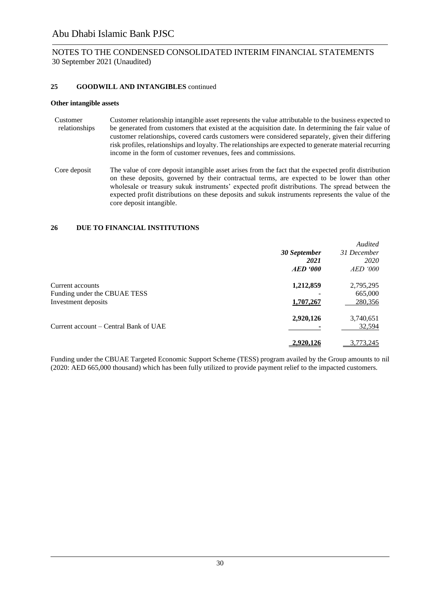### NOTES TO THE CONDENSED CONSOLIDATED INTERIM FINANCIAL STATEMENTS 30 September 2021 (Unaudited)

#### **25 GOODWILL AND INTANGIBLES** continued

#### **Other intangible assets**

- Customer relationships Customer relationship intangible asset represents the value attributable to the business expected to be generated from customers that existed at the acquisition date. In determining the fair value of customer relationships, covered cards customers were considered separately, given their differing risk profiles, relationships and loyalty. The relationships are expected to generate material recurring income in the form of customer revenues, fees and commissions.
- Core deposit The value of core deposit intangible asset arises from the fact that the expected profit distribution on these deposits, governed by their contractual terms, are expected to be lower than other wholesale or treasury sukuk instruments' expected profit distributions. The spread between the expected profit distributions on these deposits and sukuk instruments represents the value of the core deposit intangible.

#### **26 DUE TO FINANCIAL INSTITUTIONS**

|                                       |              | Audited         |
|---------------------------------------|--------------|-----------------|
|                                       | 30 September | 31 December     |
|                                       | 2021         | 2020            |
|                                       | AED 900      | <i>AED</i> '000 |
| Current accounts                      | 1,212,859    | 2,795,295       |
| Funding under the CBUAE TESS          |              | 665,000         |
| Investment deposits                   | 1,707,267    | 280,356         |
|                                       | 2,920,126    | 3,740,651       |
| Current account – Central Bank of UAE |              | 32,594          |
|                                       | 2,920,126    | 3,773,245       |

Funding under the CBUAE Targeted Economic Support Scheme (TESS) program availed by the Group amounts to nil (2020: AED 665,000 thousand) which has been fully utilized to provide payment relief to the impacted customers.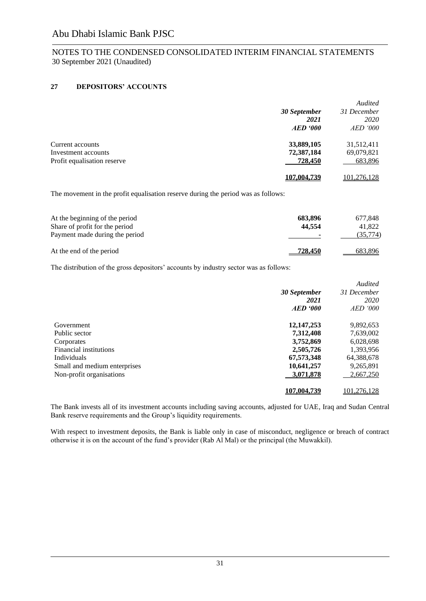### **27 DEPOSITORS' ACCOUNTS**

|                             |                 | Audited     |
|-----------------------------|-----------------|-------------|
|                             | 30 September    | 31 December |
|                             | 2021            | 2020        |
|                             | <b>AED</b> '000 | $AED$ '000  |
| Current accounts            | 33,889,105      | 31,512,411  |
| Investment accounts         | 72,387,184      | 69,079,821  |
| Profit equalisation reserve | 728,450         | 683,896     |
|                             | 107.004.739     | 101,276,128 |

The movement in the profit equalisation reserve during the period was as follows:

| At the beginning of the period<br>Share of profit for the period<br>Payment made during the period | 683,896<br>44.554 | 677,848<br>41,822<br>(35,774) |
|----------------------------------------------------------------------------------------------------|-------------------|-------------------------------|
| At the end of the period                                                                           | 728.450           | 683.896                       |

The distribution of the gross depositors' accounts by industry sector was as follows:

|                              |              | <b>Audited</b>  |
|------------------------------|--------------|-----------------|
|                              | 30 September | 31 December     |
|                              | 2021         | 2020            |
|                              | AED 900      | <i>AED</i> '000 |
| Government                   | 12, 147, 253 | 9,892,653       |
| Public sector                | 7,312,408    | 7,639,002       |
| Corporates                   | 3,752,869    | 6,028,698       |
| Financial institutions       | 2,505,726    | 1,393,956       |
| Individuals                  | 67,573,348   | 64,388,678      |
| Small and medium enterprises | 10,641,257   | 9,265,891       |
| Non-profit organisations     | 3,071,878    | 2,667,250       |
|                              | 107,004,739  | 101.276.128     |

The Bank invests all of its investment accounts including saving accounts, adjusted for UAE, Iraq and Sudan Central Bank reserve requirements and the Group's liquidity requirements.

With respect to investment deposits, the Bank is liable only in case of misconduct, negligence or breach of contract otherwise it is on the account of the fund's provider (Rab Al Mal) or the principal (the Muwakkil).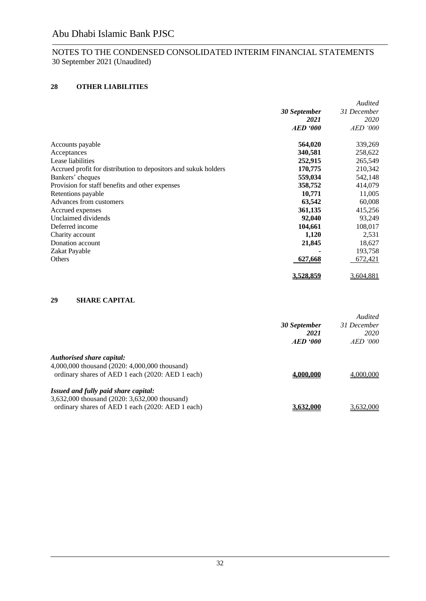### **28 OTHER LIABILITIES**

|                                                                 |                 | Audited         |
|-----------------------------------------------------------------|-----------------|-----------------|
|                                                                 | 30 September    | 31 December     |
|                                                                 | 2021            | 2020            |
|                                                                 | <b>AED</b> '000 | <i>AED '000</i> |
| Accounts payable                                                | 564,020         | 339,269         |
| Acceptances                                                     | 340,581         | 258,622         |
| Lease liabilities                                               | 252,915         | 265,549         |
| Accrued profit for distribution to depositors and sukuk holders | 170,775         | 210,342         |
| Bankers' cheques                                                | 559,034         | 542,148         |
| Provision for staff benefits and other expenses                 | 358,752         | 414,079         |
| Retentions payable                                              | 10,771          | 11,005          |
| Advances from customers                                         | 63,542          | 60,008          |
| Accrued expenses                                                | 361,135         | 415,256         |
| Unclaimed dividends                                             | 92,040          | 93,249          |
| Deferred income                                                 | 104,661         | 108,017         |
| Charity account                                                 | 1,120           | 2,531           |
| Donation account                                                | 21,845          | 18,627          |
| Zakat Payable                                                   |                 | 193,758         |
| Others                                                          | 627,668         | 672,421         |
|                                                                 | 3,528,859       | 3,604,881       |

### **29 SHARE CAPITAL**

|                                                                                                                                           | 30 September<br>2021<br>AED '000 | Audited<br>31 December<br>2020<br><i>AED '000</i> |
|-------------------------------------------------------------------------------------------------------------------------------------------|----------------------------------|---------------------------------------------------|
| Authorised share capital:<br>4,000,000 thousand (2020: 4,000,000 thousand)<br>ordinary shares of AED 1 each (2020: AED 1 each)            | 4,000,000                        | 4,000,000                                         |
| Issued and fully paid share capital:<br>3,632,000 thousand (2020: 3,632,000 thousand)<br>ordinary shares of AED 1 each (2020: AED 1 each) | 3.632,000                        | 3.632,000                                         |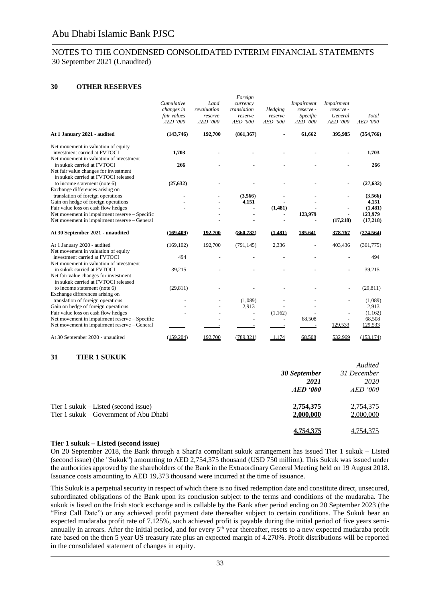### **30 OTHER RESERVES**

|                                                                                                                                      | Cumulative<br>changes in<br>fair values<br>AED '000 | Land<br>revaluation<br>reserve<br>AED '000 | Foreign<br>currency<br>translation<br>reserve<br>AED '000 | Hedging<br>reserve<br><b>AED '000</b>                           | Impairment<br>reserve -<br>Specific<br>AED '000 | Impairment<br>reserve -<br>General<br><b>AED '000</b> | Total<br>AED '000            |
|--------------------------------------------------------------------------------------------------------------------------------------|-----------------------------------------------------|--------------------------------------------|-----------------------------------------------------------|-----------------------------------------------------------------|-------------------------------------------------|-------------------------------------------------------|------------------------------|
| At 1 January 2021 - audited                                                                                                          | (143,746)                                           | 192,700                                    | (861, 367)                                                |                                                                 | 61,662                                          | 395,985                                               | (354,766)                    |
| Net movement in valuation of equity<br>investment carried at FVTOCI<br>Net movement in valuation of investment                       | 1,703                                               |                                            |                                                           |                                                                 |                                                 |                                                       | 1,703                        |
| in sukuk carried at FVTOCI<br>Net fair value changes for investment<br>in sukuk carried at FVTOCI released                           | 266                                                 |                                            |                                                           |                                                                 |                                                 |                                                       | 266                          |
| to income statement (note 6)<br>Exchange differences arising on                                                                      | (27, 632)                                           |                                            |                                                           |                                                                 |                                                 |                                                       | (27, 632)                    |
| translation of foreign operations<br>Gain on hedge of foreign operations<br>Fair value loss on cash flow hedges                      |                                                     |                                            | (3,566)<br>4,151<br>$\overline{a}$                        | (1,481)                                                         |                                                 | $\overline{\phantom{a}}$                              | (3,566)<br>4,151<br>(1,481)  |
| Net movement in impairment reserve - Specific<br>Net movement in impairment reserve - General                                        |                                                     |                                            |                                                           | $\overline{\phantom{a}}$                                        | 123,979                                         | (17,218)                                              | 123,979<br>(17,218)          |
| At 30 September 2021 - unaudited                                                                                                     | (169.409)                                           | 192.700                                    | (860.782)                                                 | (1.481)                                                         | 185,641                                         | 378,767                                               | (274, 564)                   |
| At 1 January 2020 - audited<br>Net movement in valuation of equity                                                                   | (169, 102)                                          | 192,700                                    | (791, 145)                                                | 2,336                                                           |                                                 | 403,436                                               | (361,775)                    |
| investment carried at FVTOCI<br>Net movement in valuation of investment                                                              | 494                                                 |                                            |                                                           |                                                                 |                                                 |                                                       | 494                          |
| in sukuk carried at FVTOCI<br>Net fair value changes for investment<br>in sukuk carried at FVTOCI released                           | 39,215                                              |                                            |                                                           |                                                                 |                                                 |                                                       | 39,215                       |
| to income statement (note 6)<br>Exchange differences arising on                                                                      | (29, 811)                                           |                                            |                                                           |                                                                 |                                                 | $\overline{a}$                                        | (29, 811)                    |
| translation of foreign operations<br>Gain on hedge of foreign operations                                                             |                                                     |                                            | (1,089)<br>2,913                                          |                                                                 |                                                 |                                                       | (1,089)<br>2,913             |
| Fair value loss on cash flow hedges<br>Net movement in impairment reserve - Specific<br>Net movement in impairment reserve - General |                                                     | $\overline{a}$                             | $\overline{\phantom{a}}$<br>٠<br>$\overline{\phantom{a}}$ | (1,162)<br>$\overline{\phantom{a}}$<br>$\overline{\phantom{a}}$ | 68,508                                          | L.<br>129,533                                         | (1,162)<br>68,508<br>129,533 |
| At 30 September 2020 - unaudited                                                                                                     | (159,204)                                           | 192,700                                    | (789, 321)                                                | 1,174                                                           | 68,508                                          | 532,969                                               | (153, 174)                   |

### **31 TIER 1 SUKUK**

|                                                                                | 30 September<br>2021<br>$AED \text{ } '000$ | Audited<br>31 December<br><i>2020</i><br>$AED$ '000 |
|--------------------------------------------------------------------------------|---------------------------------------------|-----------------------------------------------------|
| Tier 1 sukuk – Listed (second issue)<br>Tier 1 sukuk – Government of Abu Dhabi | 2,754,375<br>2,000,000                      | 2,754,375<br>2,000,000                              |
|                                                                                | 4,754,375                                   | 4,754,375                                           |

#### **Tier 1 sukuk – Listed (second issue)**

On 20 September 2018, the Bank through a Shari'a compliant sukuk arrangement has issued Tier 1 sukuk – Listed (second issue) (the "Sukuk") amounting to AED 2,754,375 thousand (USD 750 million). This Sukuk was issued under the authorities approved by the shareholders of the Bank in the Extraordinary General Meeting held on 19 August 2018. Issuance costs amounting to AED 19,373 thousand were incurred at the time of issuance.

This Sukuk is a perpetual security in respect of which there is no fixed redemption date and constitute direct, unsecured, subordinated obligations of the Bank upon its conclusion subject to the terms and conditions of the mudaraba. The sukuk is listed on the Irish stock exchange and is callable by the Bank after period ending on 20 September 2023 (the "First Call Date") or any achieved profit payment date thereafter subject to certain conditions. The Sukuk bear an expected mudaraba profit rate of 7.125%, such achieved profit is payable during the initial period of five years semiannually in arrears. After the initial period, and for every 5<sup>th</sup> year thereafter, resets to a new expected mudaraba profit rate based on the then 5 year US treasury rate plus an expected margin of 4.270%. Profit distributions will be reported in the consolidated statement of changes in equity.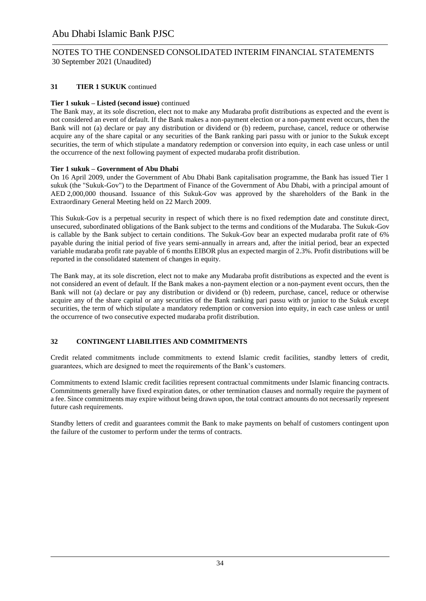### NOTES TO THE CONDENSED CONSOLIDATED INTERIM FINANCIAL STATEMENTS 30 September 2021 (Unaudited)

### **31 TIER 1 SUKUK** continued

### **Tier 1 sukuk – Listed (second issue)** continued

The Bank may, at its sole discretion, elect not to make any Mudaraba profit distributions as expected and the event is not considered an event of default. If the Bank makes a non-payment election or a non-payment event occurs, then the Bank will not (a) declare or pay any distribution or dividend or (b) redeem, purchase, cancel, reduce or otherwise acquire any of the share capital or any securities of the Bank ranking pari passu with or junior to the Sukuk except securities, the term of which stipulate a mandatory redemption or conversion into equity, in each case unless or until the occurrence of the next following payment of expected mudaraba profit distribution.

### **Tier 1 sukuk – Government of Abu Dhabi**

On 16 April 2009, under the Government of Abu Dhabi Bank capitalisation programme, the Bank has issued Tier 1 sukuk (the "Sukuk-Gov") to the Department of Finance of the Government of Abu Dhabi, with a principal amount of AED 2,000,000 thousand. Issuance of this Sukuk-Gov was approved by the shareholders of the Bank in the Extraordinary General Meeting held on 22 March 2009.

This Sukuk-Gov is a perpetual security in respect of which there is no fixed redemption date and constitute direct, unsecured, subordinated obligations of the Bank subject to the terms and conditions of the Mudaraba. The Sukuk-Gov is callable by the Bank subject to certain conditions. The Sukuk-Gov bear an expected mudaraba profit rate of 6% payable during the initial period of five years semi-annually in arrears and, after the initial period, bear an expected variable mudaraba profit rate payable of 6 months EIBOR plus an expected margin of 2.3%. Profit distributions will be reported in the consolidated statement of changes in equity.

The Bank may, at its sole discretion, elect not to make any Mudaraba profit distributions as expected and the event is not considered an event of default. If the Bank makes a non-payment election or a non-payment event occurs, then the Bank will not (a) declare or pay any distribution or dividend or (b) redeem, purchase, cancel, reduce or otherwise acquire any of the share capital or any securities of the Bank ranking pari passu with or junior to the Sukuk except securities, the term of which stipulate a mandatory redemption or conversion into equity, in each case unless or until the occurrence of two consecutive expected mudaraba profit distribution.

### **32 CONTINGENT LIABILITIES AND COMMITMENTS**

Credit related commitments include commitments to extend Islamic credit facilities, standby letters of credit, guarantees, which are designed to meet the requirements of the Bank's customers.

Commitments to extend Islamic credit facilities represent contractual commitments under Islamic financing contracts. Commitments generally have fixed expiration dates, or other termination clauses and normally require the payment of a fee. Since commitments may expire without being drawn upon, the total contract amounts do not necessarily represent future cash requirements.

Standby letters of credit and guarantees commit the Bank to make payments on behalf of customers contingent upon the failure of the customer to perform under the terms of contracts.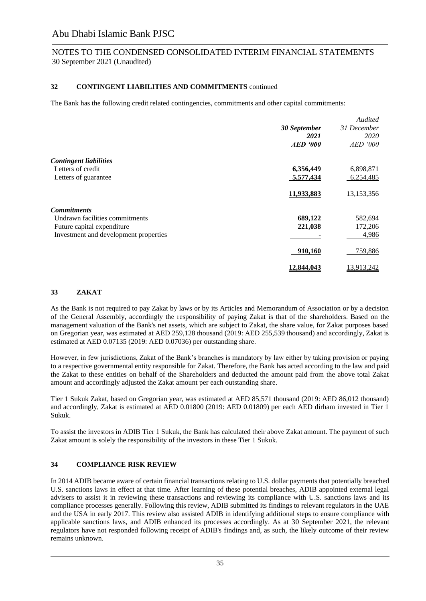### **32 CONTINGENT LIABILITIES AND COMMITMENTS** continued

The Bank has the following credit related contingencies, commitments and other capital commitments:

|                                       |                   | Audited     |
|---------------------------------------|-------------------|-------------|
|                                       | 30 September      | 31 December |
|                                       | 2021              | 2020        |
|                                       | <b>AED</b> '000   | AED '000    |
| <b>Contingent liabilities</b>         |                   |             |
| Letters of credit                     | 6,356,449         | 6,898,871   |
| Letters of guarantee                  | 5,577,434         | 6,254,485   |
|                                       | 11,933,883        | 13,153,356  |
| <b>Commitments</b>                    |                   |             |
| Undrawn facilities commitments        | 689,122           | 582,694     |
| Future capital expenditure            | 221,038           | 172,206     |
| Investment and development properties |                   | 4,986       |
|                                       | 910,160           | 759,886     |
|                                       | <u>12.844.043</u> | 13,913,242  |

### **33 ZAKAT**

As the Bank is not required to pay Zakat by laws or by its Articles and Memorandum of Association or by a decision of the General Assembly, accordingly the responsibility of paying Zakat is that of the shareholders. Based on the management valuation of the Bank's net assets, which are subject to Zakat, the share value, for Zakat purposes based on Gregorian year, was estimated at AED 259,128 thousand (2019: AED 255,539 thousand) and accordingly, Zakat is estimated at AED 0.07135 (2019: AED 0.07036) per outstanding share.

However, in few jurisdictions, Zakat of the Bank's branches is mandatory by law either by taking provision or paying to a respective governmental entity responsible for Zakat. Therefore, the Bank has acted according to the law and paid the Zakat to these entities on behalf of the Shareholders and deducted the amount paid from the above total Zakat amount and accordingly adjusted the Zakat amount per each outstanding share.

Tier 1 Sukuk Zakat, based on Gregorian year, was estimated at AED 85,571 thousand (2019: AED 86,012 thousand) and accordingly, Zakat is estimated at AED 0.01800 (2019: AED 0.01809) per each AED dirham invested in Tier 1 Sukuk.

To assist the investors in ADIB Tier 1 Sukuk, the Bank has calculated their above Zakat amount. The payment of such Zakat amount is solely the responsibility of the investors in these Tier 1 Sukuk.

### **34 COMPLIANCE RISK REVIEW**

In 2014 ADIB became aware of certain financial transactions relating to U.S. dollar payments that potentially breached U.S. sanctions laws in effect at that time. After learning of these potential breaches, ADIB appointed external legal advisers to assist it in reviewing these transactions and reviewing its compliance with U.S. sanctions laws and its compliance processes generally. Following this review, ADIB submitted its findings to relevant regulators in the UAE and the USA in early 2017. This review also assisted ADIB in identifying additional steps to ensure compliance with applicable sanctions laws, and ADIB enhanced its processes accordingly. As at 30 September 2021, the relevant regulators have not responded following receipt of ADIB's findings and, as such, the likely outcome of their review remains unknown.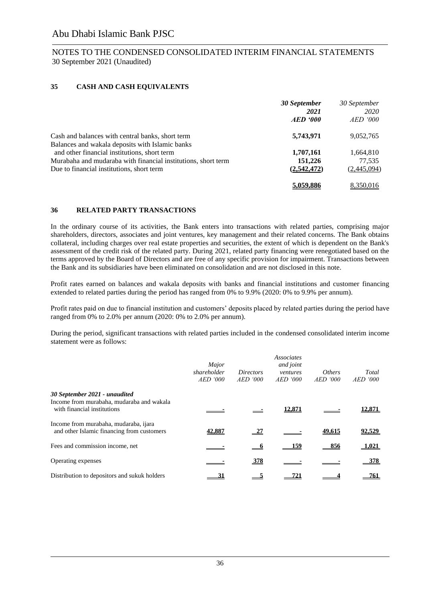### **35 CASH AND CASH EQUIVALENTS**

|                                                                                                               | 30 September<br>2021<br>AED '000 | 30 September<br>2020<br><i>AED</i> '000 |
|---------------------------------------------------------------------------------------------------------------|----------------------------------|-----------------------------------------|
| Cash and balances with central banks, short term                                                              | 5,743,971                        | 9,052,765                               |
| Balances and wakala deposits with Islamic banks                                                               |                                  |                                         |
| and other financial institutions, short term<br>Murabaha and mudaraba with financial institutions, short term | 1,707,161<br>151,226             | 1,664,810<br>77,535                     |
| Due to financial institutions, short term                                                                     | (2,542,472)                      | (2,445,094)                             |
|                                                                                                               | 5.059.886                        | 8.350.016                               |

### **36 RELATED PARTY TRANSACTIONS**

In the ordinary course of its activities, the Bank enters into transactions with related parties, comprising major shareholders, directors, associates and joint ventures, key management and their related concerns. The Bank obtains collateral, including charges over real estate properties and securities, the extent of which is dependent on the Bank's assessment of the credit risk of the related party. During 2021, related party financing were renegotiated based on the terms approved by the Board of Directors and are free of any specific provision for impairment. Transactions between the Bank and its subsidiaries have been eliminated on consolidation and are not disclosed in this note.

Profit rates earned on balances and wakala deposits with banks and financial institutions and customer financing extended to related parties during the period has ranged from 0% to 9.9% (2020: 0% to 9.9% per annum).

Profit rates paid on due to financial institution and customers' deposits placed by related parties during the period have ranged from 0% to 2.0% per annum (2020: 0% to 2.0% per annum).

During the period, significant transactions with related parties included in the condensed consolidated interim income statement were as follows:

|                                                                                                           | Major<br>shareholder<br>$AED$ '000 | <i>Directors</i><br>$AED$ '000 | <b>Associates</b><br>and joint<br>ventures<br>$AED$ '000 | <i>Others</i><br>$AED$ '000 | Total<br>$AED$ '000 |
|-----------------------------------------------------------------------------------------------------------|------------------------------------|--------------------------------|----------------------------------------------------------|-----------------------------|---------------------|
| 30 September 2021 - unaudited<br>Income from murabaha, mudaraba and wakala<br>with financial institutions |                                    |                                | 12.871                                                   |                             | 12.871              |
| Income from murabaha, mudaraba, ijara<br>and other Islamic financing from customers                       | 42,887                             | $\frac{27}{2}$                 |                                                          | 49.615                      | 92,529              |
| Fees and commission income, net                                                                           |                                    |                                | 159                                                      | 856                         | 1,021               |
| Operating expenses                                                                                        |                                    | <u>378</u>                     |                                                          |                             | $-378$              |
| Distribution to depositors and sukuk holders                                                              |                                    |                                |                                                          |                             | 761                 |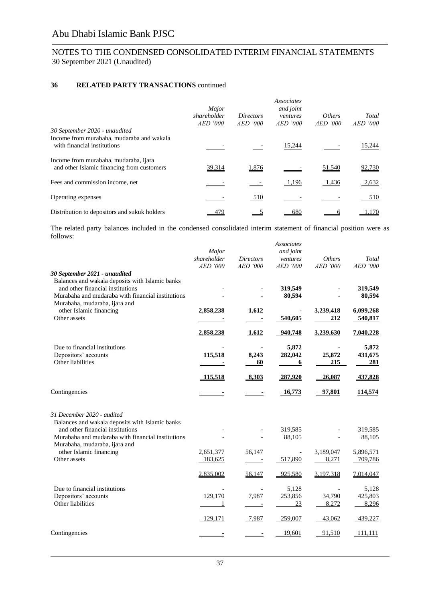### **36 RELATED PARTY TRANSACTIONS** continued

|                                                                                                           | Major<br>shareholder<br>$AED$ '000 | <i>Directors</i><br><i>AED</i> '000 | <b>Associates</b><br>and joint<br>ventures<br><i>AED</i> '000 | <i>Others</i><br>AED '000 | Total<br>$AED$ '000 |
|-----------------------------------------------------------------------------------------------------------|------------------------------------|-------------------------------------|---------------------------------------------------------------|---------------------------|---------------------|
| 30 September 2020 - unaudited<br>Income from murabaha, mudaraba and wakala<br>with financial institutions |                                    |                                     | 15,244                                                        |                           | 15,244              |
| Income from murabaha, mudaraba, ijara<br>and other Islamic financing from customers                       | 39,314                             | 1,876                               |                                                               | 51,540                    | 92,730              |
| Fees and commission income, net                                                                           |                                    |                                     | 1,196                                                         | 1,436                     | 2,632               |
| Operating expenses                                                                                        |                                    | 510                                 |                                                               |                           | 510                 |
| Distribution to depositors and sukuk holders                                                              | 479                                |                                     | 680                                                           |                           | l.170               |

The related party balances included in the condensed consolidated interim statement of financial position were as follows: *Associates*

| 30 September 2021 - unaudited                                                                                                                                             | Major<br>shareholder<br><b>AED</b> '000 | <b>Directors</b><br><b>AED</b> '000 | Associates<br>and joint<br>ventures<br><b>AED</b> '000 | <b>Others</b><br><b>AED</b> '000 | Total<br><b>AED</b> '000  |
|---------------------------------------------------------------------------------------------------------------------------------------------------------------------------|-----------------------------------------|-------------------------------------|--------------------------------------------------------|----------------------------------|---------------------------|
| Balances and wakala deposits with Islamic banks<br>and other financial institutions<br>Murabaha and mudaraba with financial institutions<br>Murabaha, mudaraba, ijara and |                                         |                                     | 319,549<br>80,594                                      |                                  | 319,549<br>80,594         |
| other Islamic financing<br>Other assets                                                                                                                                   | 2,858,238                               | 1,612                               | 540,605                                                | 3,239,418<br>212                 | 6,099,268<br>540,817      |
|                                                                                                                                                                           | 2,858,238                               | 1,612                               | 940,748                                                | 3,239,630                        | 7,040,228                 |
| Due to financial institutions<br>Depositors' accounts<br>Other liabilities                                                                                                | 115,518                                 | 8,243<br>60                         | 5,872<br>282,042<br>6                                  | 25,872<br>215                    | 5,872<br>431,675<br>281   |
|                                                                                                                                                                           | 115,518                                 | 8,303                               | 287,920                                                | 26,087                           | 437,828                   |
| Contingencies                                                                                                                                                             |                                         |                                     | 16,773                                                 | 97,801                           | 114,574                   |
| 31 December 2020 - audited<br>Balances and wakala deposits with Islamic banks<br>and other financial institutions<br>Murabaha and mudaraba with financial institutions    |                                         |                                     | 319,585<br>88,105                                      |                                  | 319,585<br>88,105         |
| Murabaha, mudaraba, ijara and<br>other Islamic financing<br>Other assets                                                                                                  | 2,651,377<br>183,625                    | 56,147<br>$\overline{\phantom{a}}$  | $\overline{\phantom{a}}$<br>517,890                    | 3,189,047<br>8,271               | 5,896,571<br>709,786      |
|                                                                                                                                                                           | 2,835,002                               | 56,147                              | 925,580                                                | 3,197,318                        | 7,014,047                 |
| Due to financial institutions<br>Depositors' accounts<br>Other liabilities                                                                                                | 129,170                                 | 7,987<br>$\overline{\phantom{a}}$   | 5,128<br>253,856<br>23                                 | 34,790<br>8,272                  | 5,128<br>425,803<br>8,296 |
|                                                                                                                                                                           | 129,171                                 | 7,987                               | 259,007                                                | 43,062                           | 439,227                   |
| Contingencies                                                                                                                                                             |                                         |                                     | 19,601                                                 | 91,510                           | 111,111                   |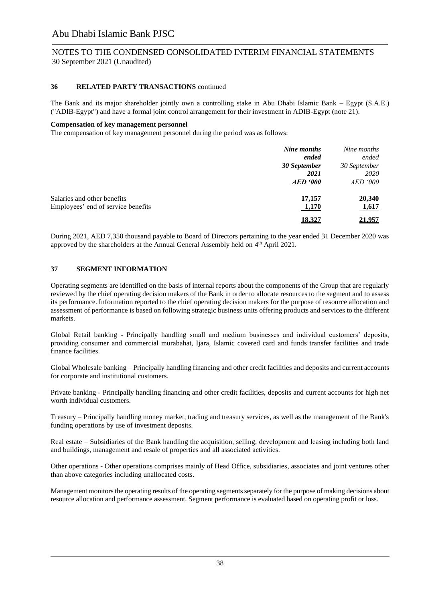### **36 RELATED PARTY TRANSACTIONS** continued

The Bank and its major shareholder jointly own a controlling stake in Abu Dhabi Islamic Bank – Egypt (S.A.E.) ("ADIB-Egypt") and have a formal joint control arrangement for their investment in ADIB-Egypt (note 21).

#### **Compensation of key management personnel**

The compensation of key management personnel during the period was as follows:

|                                                                   | Nine months<br>ended<br>30 September<br>2021<br>$AED \textit{'}000$ | Nine months<br>ended<br>30 September<br><i>2020</i><br><i>AED</i> '000 |
|-------------------------------------------------------------------|---------------------------------------------------------------------|------------------------------------------------------------------------|
| Salaries and other benefits<br>Employees' end of service benefits | 17,157<br>1,170                                                     | 20,340<br>1,617                                                        |
|                                                                   | 18.327                                                              | <u> 21.957</u>                                                         |

During 2021, AED 7,350 thousand payable to Board of Directors pertaining to the year ended 31 December 2020 was approved by the shareholders at the Annual General Assembly held on 4<sup>th</sup> April 2021.

### **37 SEGMENT INFORMATION**

Operating segments are identified on the basis of internal reports about the components of the Group that are regularly reviewed by the chief operating decision makers of the Bank in order to allocate resources to the segment and to assess its performance. Information reported to the chief operating decision makers for the purpose of resource allocation and assessment of performance is based on following strategic business units offering products and services to the different markets.

Global Retail banking - Principally handling small and medium businesses and individual customers' deposits, providing consumer and commercial murabahat, Ijara, Islamic covered card and funds transfer facilities and trade finance facilities.

Global Wholesale banking – Principally handling financing and other credit facilities and deposits and current accounts for corporate and institutional customers.

Private banking - Principally handling financing and other credit facilities, deposits and current accounts for high net worth individual customers.

Treasury – Principally handling money market, trading and treasury services, as well as the management of the Bank's funding operations by use of investment deposits.

Real estate – Subsidiaries of the Bank handling the acquisition, selling, development and leasing including both land and buildings, management and resale of properties and all associated activities.

Other operations - Other operations comprises mainly of Head Office, subsidiaries, associates and joint ventures other than above categories including unallocated costs.

Management monitors the operating results of the operating segments separately for the purpose of making decisions about resource allocation and performance assessment. Segment performance is evaluated based on operating profit or loss.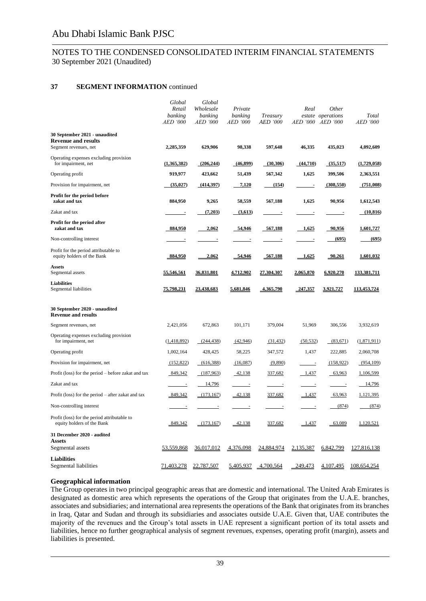#### **37 SEGMENT INFORMATION** continued

|                                                                                      | Global<br>Retail           | Global<br>Wholesale        | Private                  |                             | Real                     | <b>Other</b>                           |                   |
|--------------------------------------------------------------------------------------|----------------------------|----------------------------|--------------------------|-----------------------------|--------------------------|----------------------------------------|-------------------|
|                                                                                      | banking<br><b>AED</b> '000 | banking<br><i>AED '000</i> | banking<br>AED '000      | Treasury<br><b>AED '000</b> |                          | estate operations<br>AED '000 AED '000 | Total<br>AED '000 |
| 30 September 2021 - unaudited<br><b>Revenue and results</b><br>Segment revenues, net | 2,285,359                  | 629,906                    | 98,338                   | 597,648                     | 46,335                   | 435,023                                | 4,092,609         |
| Operating expenses excluding provision<br>for impairment, net                        | (1,365,382)                | (206, 244)                 | (46,899)                 | (30,306)                    | (44,710)                 | (35,517)                               | (1,729,058)       |
| Operating profit                                                                     | 919,977                    | 423,662                    | 51,439                   | 567,342                     | 1,625                    | 399,506                                | 2,363,551         |
| Provision for impairment, net                                                        | (35, 027)                  | (414,397)                  | 7,120                    | (154)                       |                          | (308, 550)                             | (751,008)         |
| Profit for the period before<br>zakat and tax                                        | 884,950                    | 9,265                      | 58,559                   | 567,188                     | 1,625                    | 90,956                                 | 1,612,543         |
| Zakat and tax                                                                        | $\overline{\phantom{a}}$   | (7,203)                    | (3,613)                  | $\overline{\phantom{a}}$    | $\overline{\phantom{a}}$ | $\overline{\phantom{a}}$               | (10, 816)         |
| Profit for the period after<br>zakat and tax                                         | 884,950                    | 2,062                      | 54,946                   | 567,188                     | 1,625                    | 90,956                                 | 1,601,727         |
| Non-controlling interest                                                             | ł,                         | $\overline{a}$             | $\overline{\phantom{a}}$ | ÷                           | $\overline{\phantom{a}}$ | (695)                                  | (695)             |
| Profit for the period attributable to<br>equity holders of the Bank                  | 884,950                    | 2,062                      | - 54,946                 | 567,188                     | 1,625                    | 90,261                                 | 1,601,032         |
| Assets<br>Segmental assets                                                           | 55,546,561                 | 36,831,801                 | 4,712,902                | 27,304,307                  | 2,065,870                | 6,920,270                              | 133,381,711       |
| <b>Liabilities</b><br>Segmental liabilities                                          | 75,798,231                 | 23,438,683                 | 5,681,846                | 4,365,790                   | 247,357                  | 3,921,727                              | 113,453,724       |
| 30 September 2020 - unaudited<br><b>Revenue and results</b>                          |                            |                            |                          |                             |                          |                                        |                   |
| Segment revenues, net                                                                | 2,421,056                  | 672,863                    | 101,171                  | 379,004                     | 51,969                   | 306,556                                | 3,932,619         |
| Operating expenses excluding provision<br>for impairment, net                        | (1,418,892)                | (244, 438)                 | (42,946)                 | (31, 432)                   | (50, 532)                | (83,671)                               | (1,871,911)       |
| Operating profit                                                                     | 1,002,164                  | 428,425                    | 58,225                   | 347,572                     | 1,437                    | 222,885                                | 2,060,708         |
| Provision for impairment, net                                                        | (152, 822)                 | (616,388)                  | (16,087)                 | (9,890)                     | $\sim$                   | (158, 922)                             | (954, 109)        |
| Profit (loss) for the period – before zakat and tax                                  | 849,342                    | (187,963)                  | 42,138                   | 337,682                     | 1,437                    | 63,963                                 | 1,106,599         |
| Zakat and tax                                                                        | $\sim$ $\sim$              | 14,796                     | $\overline{\phantom{a}}$ | $\overline{\phantom{a}}$    | $\sim$ 100 $\pm$         | $\sim$ $\sim$                          | 14,796            |
| Profit (loss) for the period – after zakat and tax                                   | 849,342                    | (173, 167)                 | $-42,138$                | 337,682                     | 1,437                    | 63,963                                 | 1,121,395         |
| Non-controlling interest                                                             | ÷.                         |                            | $\equiv$                 |                             | $\equiv$                 | (874)                                  | (874)             |
| Profit (loss) for the period attributable to<br>equity holders of the Bank           | 849,342                    | (173, 167)                 | $-42,138$                | 337,682                     | 1,437                    | 63,089                                 | 1,120,521         |
| 31 December 2020 - audited<br><b>Assets</b>                                          |                            |                            |                          |                             |                          |                                        |                   |
| Segmental assets                                                                     | 53,559,868                 | 36,017,012                 | 4,376,098                | 24,884,974                  | 2,135,387                | 6,842,799                              | 127,816,138       |
| <b>Liabilities</b><br>Segmental liabilities                                          | 71,403,278                 | 22,787,507                 | 5,405,937                | 4,700,564                   | 249,473                  | 4,107,495                              | 108,654,254       |

#### **Geographical information**

The Group operates in two principal geographic areas that are domestic and international. The United Arab Emirates is designated as domestic area which represents the operations of the Group that originates from the U.A.E. branches, associates and subsidiaries; and international area represents the operations of the Bank that originates from its branches in Iraq, Qatar and Sudan and through its subsidiaries and associates outside U.A.E. Given that, UAE contributes the majority of the revenues and the Group's total assets in UAE represent a significant portion of its total assets and liabilities, hence no further geographical analysis of segment revenues, expenses, operating profit (margin), assets and liabilities is presented.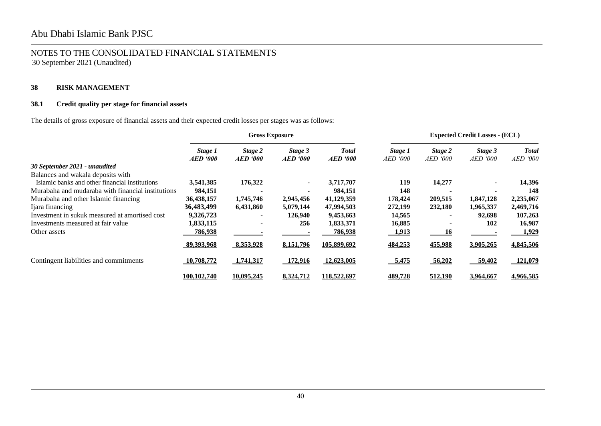### **38 RISK MANAGEMENT**

### **38.1 Credit quality per stage for financial assets**

The details of gross exposure of financial assets and their expected credit losses per stages was as follows:

|                                                   | <b>Gross Exposure</b>      |                            |                                |                                 |                            | <b>Expected Credit Losses - (ECL)</b> |                            |                                 |
|---------------------------------------------------|----------------------------|----------------------------|--------------------------------|---------------------------------|----------------------------|---------------------------------------|----------------------------|---------------------------------|
|                                                   | Stage 1<br><b>AED</b> '000 | Stage 2<br><b>AED</b> '000 | Stage 3<br>$AED \textit{'}000$ | <b>Total</b><br><b>AED</b> '000 | Stage 1<br><i>AED '000</i> | Stage 2<br><i>AED '000</i>            | Stage 3<br><i>AED</i> '000 | <b>Total</b><br><i>AED</i> '000 |
| 30 September 2021 - unaudited                     |                            |                            |                                |                                 |                            |                                       |                            |                                 |
| Balances and wakala deposits with                 |                            |                            |                                |                                 |                            |                                       |                            |                                 |
| Islamic banks and other financial institutions    | 3,541,385                  | 176,322                    | $\sim$                         | 3,717,707                       | 119                        | 14,277                                |                            | 14,396                          |
| Murabaha and mudaraba with financial institutions | 984,151                    |                            |                                | 984,151                         | 148                        |                                       |                            | 148                             |
| Murabaha and other Islamic financing              | 36,438,157                 | 1,745,746                  | 2,945,456                      | 41,129,359                      | 178,424                    | 209,515                               | 1,847,128                  | 2,235,067                       |
| Ijara financing                                   | 36,483,499                 | 6,431,860                  | 5,079,144                      | 47,994,503                      | 272,199                    | 232,180                               | 1,965,337                  | 2,469,716                       |
| Investment in sukuk measured at amortised cost    | 9,326,723                  |                            | 126,940                        | 9,453,663                       | 14,565                     |                                       | 92,698                     | 107,263                         |
| Investments measured at fair value                | 1,833,115                  |                            | 256                            | 1,833,371                       | 16,885                     |                                       | 102                        | 16,987                          |
| Other assets                                      | 786,938                    |                            |                                | 786,938                         | 1,913                      | 16                                    |                            | 1,929                           |
|                                                   | 89,393,968                 | 8,353,928                  | 8,151,796                      | 105,899,692                     | 484,253                    | 455,988                               | 3,905,265                  | 4,845,506                       |
| Contingent liabilities and commitments            | 10,708,772                 | 1,741,317                  | 172,916                        | 12,623,005                      | 5,475                      | 56,202                                | 59,402                     | 121,079                         |
|                                                   | 100.102.740                | 10,095,245                 | 8,324,712                      | 118,522,697                     | 489,728                    | 512,190                               | 3,964,667                  | 4,966,585                       |

֠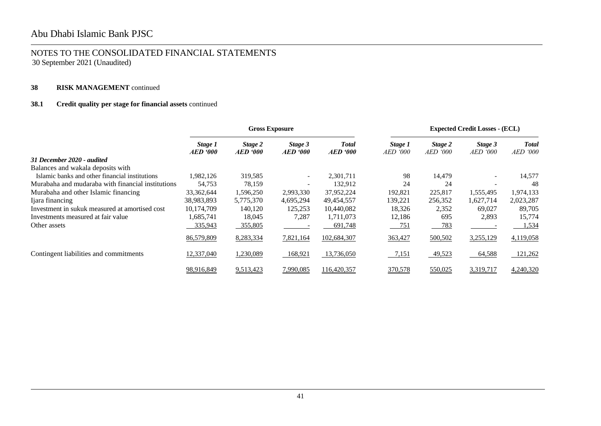### **38 RISK MANAGEMENT** continued

### **38.1 Credit quality per stage for financial assets** continued

|                                                   | <b>Gross Exposure</b>             |                            |                                   |                                 |                            | <b>Expected Credit Losses - (ECL)</b> |                            |                                 |
|---------------------------------------------------|-----------------------------------|----------------------------|-----------------------------------|---------------------------------|----------------------------|---------------------------------------|----------------------------|---------------------------------|
|                                                   | Stage 1<br><i><b>AED '000</b></i> | Stage 2<br><b>AED</b> '000 | Stage 3<br><i><b>AED '000</b></i> | <b>Total</b><br><b>AED</b> '000 | Stage 1<br><i>AED</i> '000 | Stage 2<br><i>AED '000</i>            | Stage 3<br><i>AED '000</i> | <b>Total</b><br><i>AED</i> '000 |
| 31 December 2020 - audited                        |                                   |                            |                                   |                                 |                            |                                       |                            |                                 |
| Balances and wakala deposits with                 |                                   |                            |                                   |                                 |                            |                                       |                            |                                 |
| Islamic banks and other financial institutions    | 1,982,126                         | 319,585                    | $\overline{\phantom{a}}$          | 2,301,711                       | 98                         | 14,479                                |                            | 14,577                          |
| Murabaha and mudaraba with financial institutions | 54,753                            | 78,159                     |                                   | 132,912                         | 24                         | 24                                    |                            | 48                              |
| Murabaha and other Islamic financing              | 33, 362, 644                      | 1,596,250                  | 2,993,330                         | 37,952,224                      | 192,821                    | 225,817                               | 1,555,495                  | 1,974,133                       |
| Ijara financing                                   | 38,983,893                        | 5,775,370                  | 4,695,294                         | 49,454,557                      | 139,221                    | 256,352                               | 1,627,714                  | 2,023,287                       |
| Investment in sukuk measured at amortised cost    | 10,174,709                        | 140,120                    | 125,253                           | 10,440,082                      | 18,326                     | 2,352                                 | 69,027                     | 89,705                          |
| Investments measured at fair value                | .685.741                          | 18,045                     | 7,287                             | 1,711,073                       | 12,186                     | 695                                   | 2,893                      | 15,774                          |
| Other assets                                      | 335,943                           | 355,805                    |                                   | 691,748                         | 751                        | 783                                   |                            | <u>1,534</u>                    |
|                                                   | 86,579,809                        | 8,283,334                  | 7,821,164                         | 102,684,307                     | 363,427                    | 500,502                               | 3,255,129                  | 4,119,058                       |
| Contingent liabilities and commitments            | 12,337,040                        | 1,230,089                  | $-168,921$                        | 13,736,050                      | 7,151                      | 49,523                                | 64,588                     | 121,262                         |
|                                                   | 98,916,849                        | 9,513,423                  | 7,990,085                         | 116,420,357                     | 370,578                    | 550,025                               | 3,319,717                  | 4,240,320                       |

֠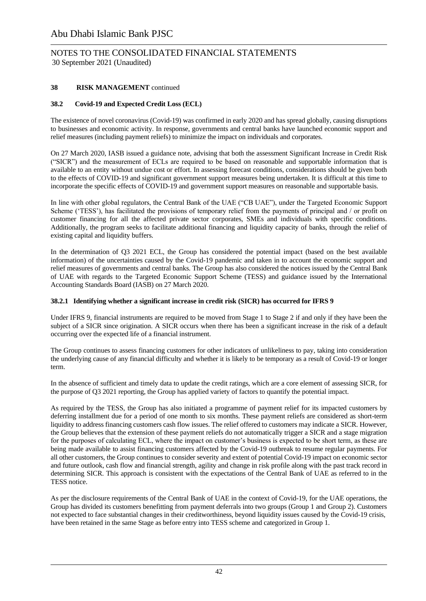### **38 RISK MANAGEMENT** continued

### **38.2 Covid-19 and Expected Credit Loss (ECL)**

The existence of novel coronavirus (Covid-19) was confirmed in early 2020 and has spread globally, causing disruptions to businesses and economic activity. In response, governments and central banks have launched economic support and relief measures (including payment reliefs) to minimize the impact on individuals and corporates.

On 27 March 2020, IASB issued a guidance note, advising that both the assessment Significant Increase in Credit Risk ("SICR") and the measurement of ECLs are required to be based on reasonable and supportable information that is available to an entity without undue cost or effort. In assessing forecast conditions, considerations should be given both to the effects of COVID-19 and significant government support measures being undertaken. It is difficult at this time to incorporate the specific effects of COVID-19 and government support measures on reasonable and supportable basis.

In line with other global regulators, the Central Bank of the UAE ("CB UAE"), under the Targeted Economic Support Scheme ('TESS'), has facilitated the provisions of temporary relief from the payments of principal and / or profit on customer financing for all the affected private sector corporates, SMEs and individuals with specific conditions. Additionally, the program seeks to facilitate additional financing and liquidity capacity of banks, through the relief of existing capital and liquidity buffers.

In the determination of Q3 2021 ECL, the Group has considered the potential impact (based on the best available information) of the uncertainties caused by the Covid-19 pandemic and taken in to account the economic support and relief measures of governments and central banks. The Group has also considered the notices issued by the Central Bank of UAE with regards to the Targeted Economic Support Scheme (TESS) and guidance issued by the International Accounting Standards Board (IASB) on 27 March 2020.

### **38.2.1 Identifying whether a significant increase in credit risk (SICR) has occurred for IFRS 9**

Under IFRS 9, financial instruments are required to be moved from Stage 1 to Stage 2 if and only if they have been the subject of a SICR since origination. A SICR occurs when there has been a significant increase in the risk of a default occurring over the expected life of a financial instrument.

The Group continues to assess financing customers for other indicators of unlikeliness to pay, taking into consideration the underlying cause of any financial difficulty and whether it is likely to be temporary as a result of Covid-19 or longer term.

In the absence of sufficient and timely data to update the credit ratings, which are a core element of assessing SICR, for the purpose of Q3 2021 reporting, the Group has applied variety of factors to quantify the potential impact.

As required by the TESS, the Group has also initiated a programme of payment relief for its impacted customers by deferring installment due for a period of one month to six months. These payment reliefs are considered as short-term liquidity to address financing customers cash flow issues. The relief offered to customers may indicate a SICR. However, the Group believes that the extension of these payment reliefs do not automatically trigger a SICR and a stage migration for the purposes of calculating ECL, where the impact on customer's business is expected to be short term, as these are being made available to assist financing customers affected by the Covid-19 outbreak to resume regular payments. For all other customers, the Group continues to consider severity and extent of potential Covid-19 impact on economic sector and future outlook, cash flow and financial strength, agility and change in risk profile along with the past track record in determining SICR. This approach is consistent with the expectations of the Central Bank of UAE as referred to in the TESS notice.

As per the disclosure requirements of the Central Bank of UAE in the context of Covid-19, for the UAE operations, the Group has divided its customers benefitting from payment deferrals into two groups (Group 1 and Group 2). Customers not expected to face substantial changes in their creditworthiness, beyond liquidity issues caused by the Covid-19 crisis, have been retained in the same Stage as before entry into TESS scheme and categorized in Group 1.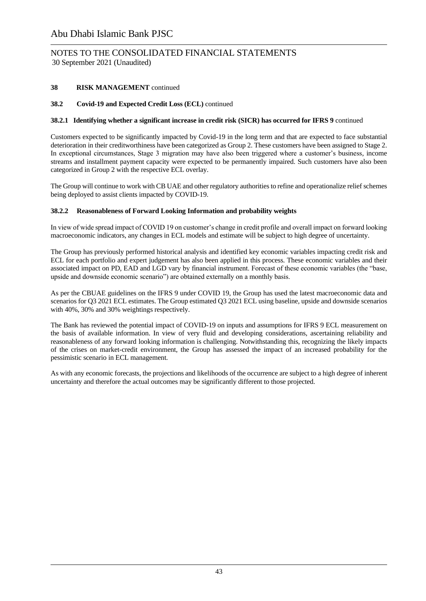**38 RISK MANAGEMENT** continued

### **38.2 Covid-19 and Expected Credit Loss (ECL)** continued

### **38.2.1 Identifying whether a significant increase in credit risk (SICR) has occurred for IFRS 9** continued

Customers expected to be significantly impacted by Covid-19 in the long term and that are expected to face substantial deterioration in their creditworthiness have been categorized as Group 2. These customers have been assigned to Stage 2. In exceptional circumstances, Stage 3 migration may have also been triggered where a customer's business, income streams and installment payment capacity were expected to be permanently impaired. Such customers have also been categorized in Group 2 with the respective ECL overlay.

The Group will continue to work with CB UAE and other regulatory authorities to refine and operationalize relief schemes being deployed to assist clients impacted by COVID-19.

### **38.2.2 Reasonableness of Forward Looking Information and probability weights**

In view of wide spread impact of COVID 19 on customer's change in credit profile and overall impact on forward looking macroeconomic indicators, any changes in ECL models and estimate will be subject to high degree of uncertainty.

The Group has previously performed historical analysis and identified key economic variables impacting credit risk and ECL for each portfolio and expert judgement has also been applied in this process. These economic variables and their associated impact on PD, EAD and LGD vary by financial instrument. Forecast of these economic variables (the "base, upside and downside economic scenario") are obtained externally on a monthly basis.

As per the CBUAE guidelines on the IFRS 9 under COVID 19, the Group has used the latest macroeconomic data and scenarios for Q3 2021 ECL estimates. The Group estimated Q3 2021 ECL using baseline, upside and downside scenarios with 40%, 30% and 30% weightings respectively.

The Bank has reviewed the potential impact of COVID-19 on inputs and assumptions for IFRS 9 ECL measurement on the basis of available information. In view of very fluid and developing considerations, ascertaining reliability and reasonableness of any forward looking information is challenging. Notwithstanding this, recognizing the likely impacts of the crises on market-credit environment, the Group has assessed the impact of an increased probability for the pessimistic scenario in ECL management.

As with any economic forecasts, the projections and likelihoods of the occurrence are subject to a high degree of inherent uncertainty and therefore the actual outcomes may be significantly different to those projected.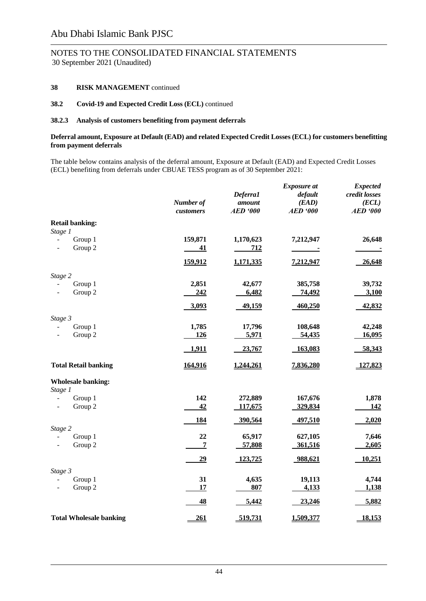# NOTES TO THE CONSOLIDATED FINANCIAL STATEMENTS

30 September 2021 (Unaudited)

### **38 RISK MANAGEMENT** continued

#### **38.2 Covid-19 and Expected Credit Loss (ECL)** continued

#### **38.2.3 Analysis of customers benefiting from payment deferrals**

#### **Deferral amount, Exposure at Default (EAD) and related Expected Credit Losses (ECL) for customers benefitting from payment deferrals**

The table below contains analysis of the deferral amount, Exposure at Default (EAD) and Expected Credit Losses (ECL) benefiting from deferrals under CBUAE TESS program as of 30 September 2021:

|                                                                             | Number of<br>customers | Deferra1<br>amount<br><b>AED</b> '000 | <b>Exposure</b> at<br>default<br>(EAD)<br><b>AED '000</b> | <b>Expected</b><br>credit losses<br>(ECL)<br><b>AED</b> '000 |
|-----------------------------------------------------------------------------|------------------------|---------------------------------------|-----------------------------------------------------------|--------------------------------------------------------------|
| <b>Retail banking:</b>                                                      |                        |                                       |                                                           |                                                              |
| Stage 1<br>Group 1<br>$\overline{\phantom{0}}$<br>Group 2<br>$\overline{a}$ | 159,871<br>41          | 1,170,623<br>712                      | 7,212,947                                                 | 26,648                                                       |
|                                                                             | 159,912                | <u>1,171,335</u>                      | 7,212,947                                                 | 26,648                                                       |
| Stage 2                                                                     |                        |                                       |                                                           |                                                              |
| Group 1<br>Group 2                                                          | 2,851<br>242           | 42,677<br>6,482                       | 385,758<br>74,492                                         | 39,732<br>3,100                                              |
|                                                                             | 3,093                  | 49,159                                | 460,250                                                   | 42,832                                                       |
| Stage 3                                                                     |                        |                                       |                                                           |                                                              |
| Group 1<br>$\overline{\phantom{a}}$<br>Group 2<br>$\overline{\phantom{a}}$  | 1,785<br>126           | 17,796<br>5,971                       | 108,648<br>54,435                                         | 42,248<br>16,095                                             |
|                                                                             | 1,911                  | 23,767                                | 163,083                                                   | 58,343                                                       |
| <b>Total Retail banking</b>                                                 | 164,916                | 1,244,261                             | 7,836,280                                                 | 127,823                                                      |
| <b>Wholesale banking:</b>                                                   |                        |                                       |                                                           |                                                              |
| Stage 1<br>Group 1                                                          | 142                    | 272,889                               | 167,676                                                   | 1,878                                                        |
| Group 2                                                                     | 42                     | 117,675                               | 329,834                                                   | <u>142</u>                                                   |
|                                                                             | <u>184</u>             | 390,564                               | 497,510                                                   | 2,020                                                        |
| Stage 2                                                                     |                        |                                       |                                                           |                                                              |
| Group 1                                                                     | 22                     | 65,917                                | 627,105                                                   | 7,646                                                        |
| Group 2<br>$\overline{\phantom{a}}$                                         | $\overline{7}$         | 57,808                                | 361,516                                                   | 2,605                                                        |
|                                                                             | 29                     | 123,725                               | 988,621                                                   | 10,251                                                       |
| Stage 3                                                                     |                        |                                       |                                                           |                                                              |
| Group 1                                                                     | 31                     | 4,635                                 | 19,113                                                    | 4,744                                                        |
| Group 2                                                                     | 17                     | 807                                   | 4,133                                                     | 1,138                                                        |
|                                                                             | 48                     | 5,442                                 | 23,246                                                    | 5,882                                                        |
| <b>Total Wholesale banking</b>                                              | 261                    | 519,731                               | 1,509,377                                                 | <u>18,153</u>                                                |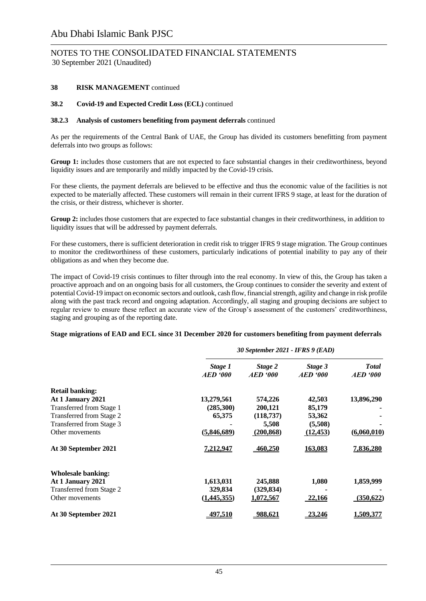#### **38 RISK MANAGEMENT** continued

#### **38.2 Covid-19 and Expected Credit Loss (ECL)** continued

#### **38.2.3 Analysis of customers benefiting from payment deferrals** continued

As per the requirements of the Central Bank of UAE, the Group has divided its customers benefitting from payment deferrals into two groups as follows:

**Group 1:** includes those customers that are not expected to face substantial changes in their creditworthiness, beyond liquidity issues and are temporarily and mildly impacted by the Covid-19 crisis.

For these clients, the payment deferrals are believed to be effective and thus the economic value of the facilities is not expected to be materially affected. These customers will remain in their current IFRS 9 stage, at least for the duration of the crisis, or their distress, whichever is shorter.

**Group 2:** includes those customers that are expected to face substantial changes in their creditworthiness, in addition to liquidity issues that will be addressed by payment deferrals.

For these customers, there is sufficient deterioration in credit risk to trigger IFRS 9 stage migration. The Group continues to monitor the creditworthiness of these customers, particularly indications of potential inability to pay any of their obligations as and when they become due.

The impact of Covid-19 crisis continues to filter through into the real economy. In view of this, the Group has taken a proactive approach and on an ongoing basis for all customers, the Group continues to consider the severity and extent of potential Covid-19 impact on economic sectors and outlook, cash flow, financial strength, agility and change in risk profile along with the past track record and ongoing adaptation. Accordingly, all staging and grouping decisions are subject to regular review to ensure these reflect an accurate view of the Group's assessment of the customers' creditworthiness, staging and grouping as of the reporting date.

#### **Stage migrations of EAD and ECL since 31 December 2020 for customers benefiting from payment deferrals**

|                          | 30 September 2021 - IFRS 9 (EAD) |                            |                            |                                 |  |  |
|--------------------------|----------------------------------|----------------------------|----------------------------|---------------------------------|--|--|
|                          | Stage 1<br><b>AED</b> '000       | Stage 2<br><b>AED</b> '000 | Stage 3<br><b>AED</b> '000 | <b>Total</b><br><b>AED</b> '000 |  |  |
| <b>Retail banking:</b>   |                                  |                            |                            |                                 |  |  |
| At 1 January 2021        | 13,279,561                       | 574,226                    | 42,503                     | 13,896,290                      |  |  |
| Transferred from Stage 1 | (285,300)                        | 200,121                    | 85,179                     |                                 |  |  |
| Transferred from Stage 2 | 65,375                           | (118, 737)                 | 53,362                     |                                 |  |  |
| Transferred from Stage 3 |                                  | 5,508                      | (5,508)                    |                                 |  |  |
| Other movements          | (5,846,689)                      | (200, 868)                 | (12, 453)                  | (6,060,010)                     |  |  |
| At 30 September 2021     | 7,212,947                        | 460,250                    | 163,083                    | <u>7,836,280</u>                |  |  |
| Wholesale banking:       |                                  |                            |                            |                                 |  |  |
| At 1 January 2021        | 1,613,031                        | 245,888                    | 1,080                      | 1,859,999                       |  |  |
| Transferred from Stage 2 | 329,834                          | (329, 834)                 |                            |                                 |  |  |
| Other movements          | (1,445,355)                      | 1,072,567                  | <b>22,166</b>              | (350, 622)                      |  |  |
| At 30 September 2021     | <u>497,510</u>                   | <u>988,621</u>             | 23,246                     | <u>1,509,377</u>                |  |  |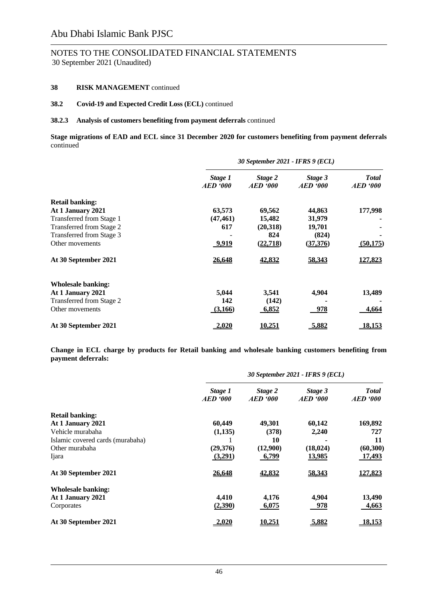# NOTES TO THE CONSOLIDATED FINANCIAL STATEMENTS

30 September 2021 (Unaudited)

### **38 RISK MANAGEMENT** continued

#### **38.2 Covid-19 and Expected Credit Loss (ECL)** continued

#### **38.2.3 Analysis of customers benefiting from payment deferrals** continued

**Stage migrations of EAD and ECL since 31 December 2020 for customers benefiting from payment deferrals**  continued

|                           | 30 September 2021 - IFRS 9 (ECL) |                            |                            |                                 |  |  |
|---------------------------|----------------------------------|----------------------------|----------------------------|---------------------------------|--|--|
|                           | Stage 1<br><b>AED</b> '000       | Stage 2<br><b>AED</b> '000 | Stage 3<br><b>AED</b> '000 | <b>Total</b><br><b>AED</b> '000 |  |  |
| <b>Retail banking:</b>    |                                  |                            |                            |                                 |  |  |
| At 1 January 2021         | 63,573                           | 69,562                     | 44,863                     | 177,998                         |  |  |
| Transferred from Stage 1  | (47, 461)                        | 15,482                     | 31,979                     |                                 |  |  |
| Transferred from Stage 2  | 617                              | (20,318)                   | 19,701                     |                                 |  |  |
| Transferred from Stage 3  |                                  | 824                        | (824)                      |                                 |  |  |
| Other movements           | 9,919                            | (22, 718)                  | (37,376)                   | (50, 175)                       |  |  |
| At 30 September 2021      | <u>26,648</u>                    | 42,832                     | 58,343                     | 127,823                         |  |  |
| <b>Wholesale banking:</b> |                                  |                            |                            |                                 |  |  |
| At 1 January 2021         | 5,044                            | 3,541                      | 4,904                      | 13,489                          |  |  |
| Transferred from Stage 2  | 142                              | (142)                      |                            |                                 |  |  |
| Other movements           | (3,166)                          | 6,852                      | 978                        | 4,664                           |  |  |
| At 30 September 2021      | <u>2,020</u>                     | <u>10,251</u>              | 5,882                      | <u>18,153</u>                   |  |  |

**Change in ECL charge by products for Retail banking and wholesale banking customers benefiting from payment deferrals:**

|                                  | 30 September 2021 - IFRS 9 (ECL) |                            |                            |                                 |  |  |
|----------------------------------|----------------------------------|----------------------------|----------------------------|---------------------------------|--|--|
|                                  | Stage 1<br><b>AED</b> '000       | Stage 2<br><b>AED</b> '000 | Stage 3<br><b>AED</b> '000 | <b>Total</b><br><b>AED</b> '000 |  |  |
| <b>Retail banking:</b>           |                                  |                            |                            |                                 |  |  |
| At 1 January 2021                | 60,449                           | 49,301                     | 60,142                     | 169,892                         |  |  |
| Vehicle murabaha                 | (1,135)                          | (378)                      | 2,240                      | 727                             |  |  |
| Islamic covered cards (murabaha) |                                  | 10                         |                            | 11                              |  |  |
| Other murabaha                   | (29,376)                         | (12,900)                   | (18, 024)                  | (60, 300)                       |  |  |
| Ijara                            | (3,291)                          | 6,799                      | <u>13,985</u>              | <u>17,493</u>                   |  |  |
| At 30 September 2021             | 26,648                           | 42,832                     | 58,343                     | 127,823                         |  |  |
| <b>Wholesale banking:</b>        |                                  |                            |                            |                                 |  |  |
| At 1 January 2021                | 4,410                            | 4,176                      | 4,904                      | 13,490                          |  |  |
| Corporates                       | (2,390)                          | 6,075                      | 978                        | 4,663                           |  |  |
| At 30 September 2021             | $-2,020$                         | 10,251                     | 5,882                      | 18,153                          |  |  |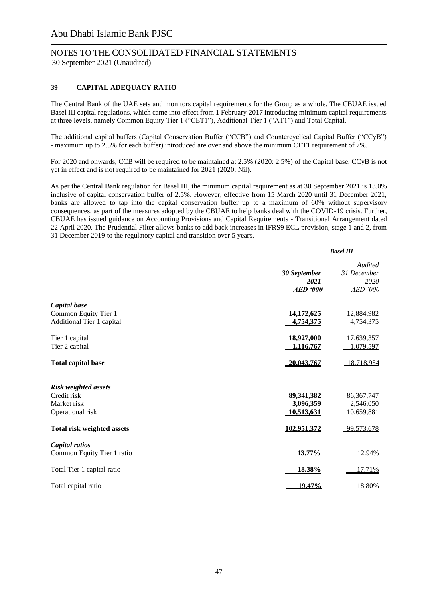### **39 CAPITAL ADEQUACY RATIO**

The Central Bank of the UAE sets and monitors capital requirements for the Group as a whole. The CBUAE issued Basel III capital regulations, which came into effect from 1 February 2017 introducing minimum capital requirements at three levels, namely Common Equity Tier 1 ("CET1"), Additional Tier 1 ("AT1") and Total Capital.

The additional capital buffers (Capital Conservation Buffer ("CCB") and Countercyclical Capital Buffer ("CCyB") - maximum up to 2.5% for each buffer) introduced are over and above the minimum CET1 requirement of 7%.

For 2020 and onwards, CCB will be required to be maintained at 2.5% (2020: 2.5%) of the Capital base. CCyB is not yet in effect and is not required to be maintained for 2021 (2020: Nil).

As per the Central Bank regulation for Basel III, the minimum capital requirement as at 30 September 2021 is 13.0% inclusive of capital conservation buffer of 2.5%. However, effective from 15 March 2020 until 31 December 2021, banks are allowed to tap into the capital conservation buffer up to a maximum of 60% without supervisory consequences, as part of the measures adopted by the CBUAE to help banks deal with the COVID-19 crisis. Further, CBUAE has issued guidance on Accounting Provisions and Capital Requirements - Transitional Arrangement dated 22 April 2020. The Prudential Filter allows banks to add back increases in IFRS9 ECL provision, stage 1 and 2, from 31 December 2019 to the regulatory capital and transition over 5 years.

|                                                                               |                                         | <b>Basel III</b>                           |  |
|-------------------------------------------------------------------------------|-----------------------------------------|--------------------------------------------|--|
|                                                                               | 30 September<br>2021<br><b>AED</b> '000 | Audited<br>31 December<br>2020<br>AED '000 |  |
| Capital base<br>Common Equity Tier 1<br>Additional Tier 1 capital             | 14,172,625<br>4,754,375                 | 12,884,982<br>4,754,375                    |  |
| Tier 1 capital<br>Tier 2 capital                                              | 18,927,000<br>1,116,767                 | 17,639,357<br>1,079,597                    |  |
| <b>Total capital base</b>                                                     | 20,043,767                              | 18,718,954                                 |  |
| <b>Risk weighted assets</b><br>Credit risk<br>Market risk<br>Operational risk | 89, 341, 382<br>3,096,359<br>10,513,631 | 86, 367, 747<br>2,546,050<br>10,659,881    |  |
| <b>Total risk weighted assets</b>                                             | 102,951,372                             | 99,573,678                                 |  |
| Capital ratios<br>Common Equity Tier 1 ratio                                  | 13.77%                                  | 12.94%                                     |  |
| Total Tier 1 capital ratio                                                    | 18.38%                                  | 17.71%                                     |  |
| Total capital ratio                                                           | <u> 19.47%</u>                          | 18.80%                                     |  |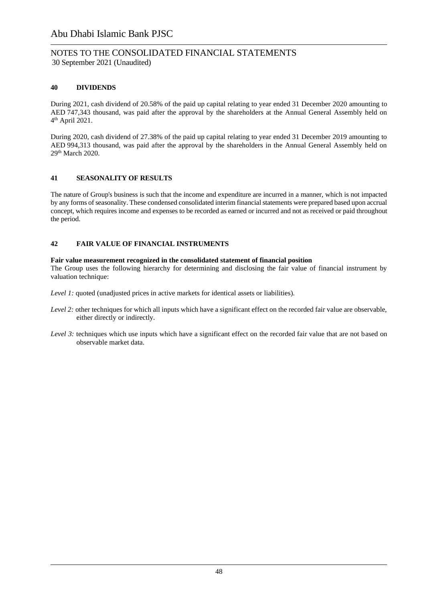### NOTES TO THE CONSOLIDATED FINANCIAL STATEMENTS 30 September 2021 (Unaudited)

### **40 DIVIDENDS**

During 2021, cash dividend of 20.58% of the paid up capital relating to year ended 31 December 2020 amounting to AED 747,343 thousand, was paid after the approval by the shareholders at the Annual General Assembly held on 4 th April 2021.

During 2020, cash dividend of 27.38% of the paid up capital relating to year ended 31 December 2019 amounting to AED 994,313 thousand, was paid after the approval by the shareholders in the Annual General Assembly held on 29th March 2020.

### **41 SEASONALITY OF RESULTS**

The nature of Group's business is such that the income and expenditure are incurred in a manner, which is not impacted by any forms of seasonality. These condensed consolidated interim financial statements were prepared based upon accrual concept, which requires income and expenses to be recorded as earned or incurred and not as received or paid throughout the period.

### **42 FAIR VALUE OF FINANCIAL INSTRUMENTS**

#### **Fair value measurement recognized in the consolidated statement of financial position**

The Group uses the following hierarchy for determining and disclosing the fair value of financial instrument by valuation technique:

*Level 1:* quoted (unadjusted prices in active markets for identical assets or liabilities).

- *Level 2:* other techniques for which all inputs which have a significant effect on the recorded fair value are observable, either directly or indirectly.
- *Level 3:* techniques which use inputs which have a significant effect on the recorded fair value that are not based on observable market data.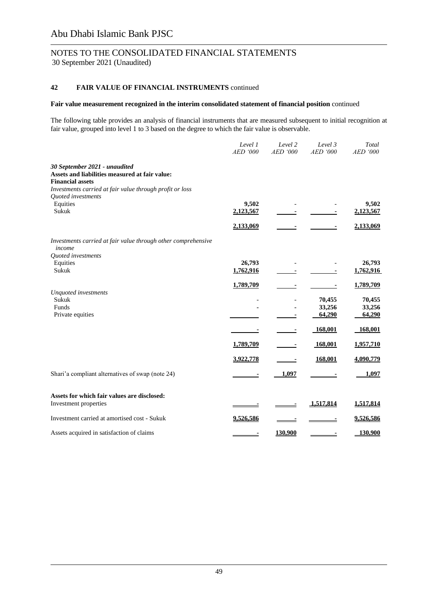## NOTES TO THE CONSOLIDATED FINANCIAL STATEMENTS

30 September 2021 (Unaudited)

### **42 FAIR VALUE OF FINANCIAL INSTRUMENTS** continued

#### **Fair value measurement recognized in the interim consolidated statement of financial position** continued

The following table provides an analysis of financial instruments that are measured subsequent to initial recognition at fair value, grouped into level 1 to 3 based on the degree to which the fair value is observable.

|                                                                                                                                                                        | Level 1<br>AED '000 | Level 2<br>AED '000 | Level 3<br>AED '000        | Total<br>AED '000          |
|------------------------------------------------------------------------------------------------------------------------------------------------------------------------|---------------------|---------------------|----------------------------|----------------------------|
| 30 September 2021 - unaudited<br>Assets and liabilities measured at fair value:<br><b>Financial assets</b><br>Investments carried at fair value through profit or loss |                     |                     |                            |                            |
| Quoted investments<br>Equities<br>Sukuk                                                                                                                                | 9,502<br>2,123,567  |                     |                            | 9,502<br>2,123,567         |
|                                                                                                                                                                        | 2,133,069           |                     |                            | 2,133,069                  |
| Investments carried at fair value through other comprehensive<br>income                                                                                                |                     |                     |                            |                            |
| Quoted investments<br>Equities                                                                                                                                         | 26,793              |                     |                            | 26,793                     |
| Sukuk                                                                                                                                                                  | 1,762,916           |                     |                            | 1,762,916                  |
|                                                                                                                                                                        |                     |                     |                            |                            |
|                                                                                                                                                                        | 1,789,709           |                     |                            | 1,789,709                  |
| Unquoted investments<br>Sukuk<br>Funds<br>Private equities                                                                                                             |                     |                     | 70,455<br>33,256<br>64,290 | 70,455<br>33,256<br>64,290 |
|                                                                                                                                                                        |                     |                     | 168,001                    | 168,001                    |
|                                                                                                                                                                        | 1,789,709           |                     | 168,001                    | 1,957,710                  |
|                                                                                                                                                                        | 3,922,778           |                     | 168,001                    | 4,090,779                  |
| Shari'a compliant alternatives of swap (note 24)                                                                                                                       |                     | 1,097               |                            | 1,097                      |
| Assets for which fair values are disclosed:<br>Investment properties                                                                                                   |                     |                     | 1,517,814                  | 1,517,814                  |
| Investment carried at amortised cost - Sukuk                                                                                                                           | 9,526,586           |                     |                            | 9,526,586                  |
| Assets acquired in satisfaction of claims                                                                                                                              |                     | 130,900             |                            | 130,900                    |